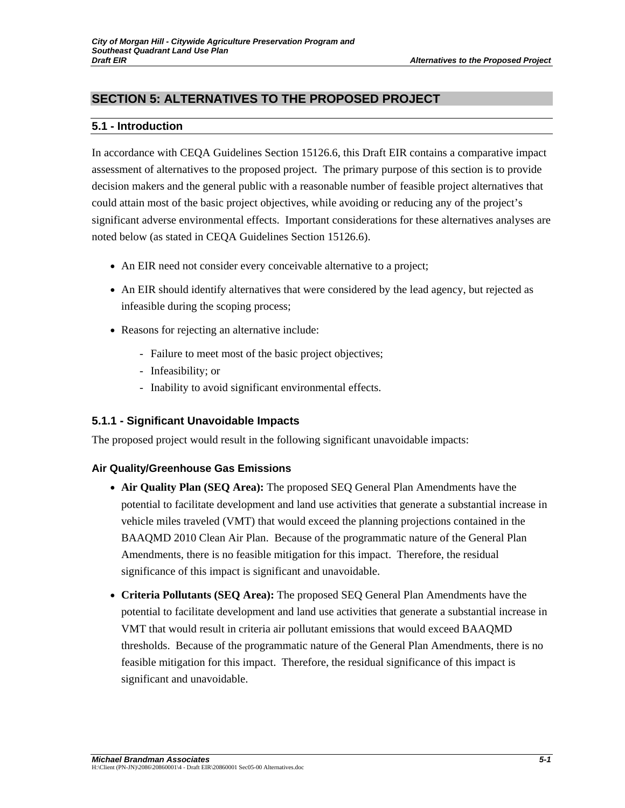# **SECTION 5: ALTERNATIVES TO THE PROPOSED PROJECT**

### **5.1 - Introduction**

In accordance with CEQA Guidelines Section 15126.6, this Draft EIR contains a comparative impact assessment of alternatives to the proposed project. The primary purpose of this section is to provide decision makers and the general public with a reasonable number of feasible project alternatives that could attain most of the basic project objectives, while avoiding or reducing any of the project's significant adverse environmental effects. Important considerations for these alternatives analyses are noted below (as stated in CEQA Guidelines Section 15126.6).

- An EIR need not consider every conceivable alternative to a project;
- An EIR should identify alternatives that were considered by the lead agency, but rejected as infeasible during the scoping process;
- Reasons for rejecting an alternative include:
	- Failure to meet most of the basic project objectives;
	- Infeasibility; or
	- Inability to avoid significant environmental effects.

### **5.1.1 - Significant Unavoidable Impacts**

The proposed project would result in the following significant unavoidable impacts:

### **Air Quality/Greenhouse Gas Emissions**

- **Air Quality Plan (SEQ Area):** The proposed SEQ General Plan Amendments have the potential to facilitate development and land use activities that generate a substantial increase in vehicle miles traveled (VMT) that would exceed the planning projections contained in the BAAQMD 2010 Clean Air Plan. Because of the programmatic nature of the General Plan Amendments, there is no feasible mitigation for this impact. Therefore, the residual significance of this impact is significant and unavoidable.
- **Criteria Pollutants (SEQ Area):** The proposed SEQ General Plan Amendments have the potential to facilitate development and land use activities that generate a substantial increase in VMT that would result in criteria air pollutant emissions that would exceed BAAQMD thresholds. Because of the programmatic nature of the General Plan Amendments, there is no feasible mitigation for this impact. Therefore, the residual significance of this impact is significant and unavoidable.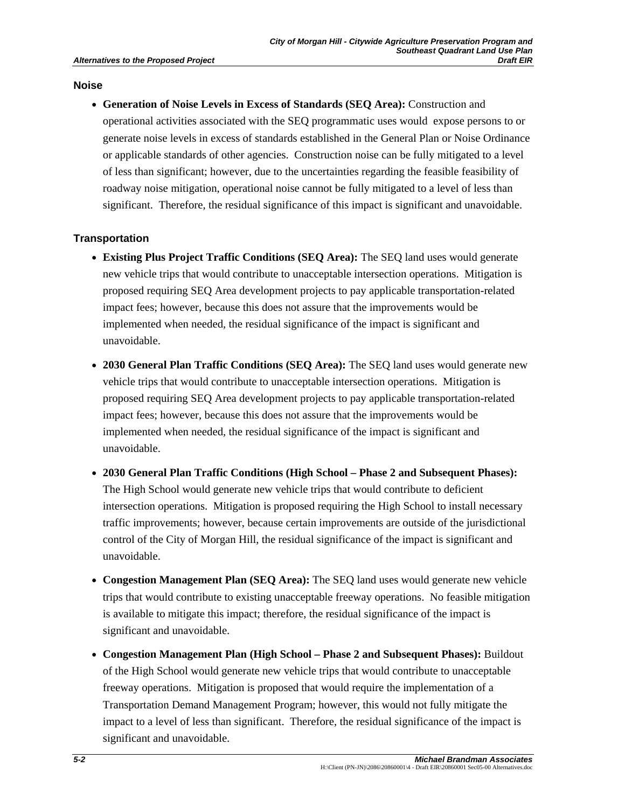#### **Noise**

• **Generation of Noise Levels in Excess of Standards (SEQ Area):** Construction and operational activities associated with the SEQ programmatic uses would expose persons to or generate noise levels in excess of standards established in the General Plan or Noise Ordinance or applicable standards of other agencies. Construction noise can be fully mitigated to a level of less than significant; however, due to the uncertainties regarding the feasible feasibility of roadway noise mitigation, operational noise cannot be fully mitigated to a level of less than significant. Therefore, the residual significance of this impact is significant and unavoidable.

#### **Transportation**

- **Existing Plus Project Traffic Conditions (SEQ Area):** The SEQ land uses would generate new vehicle trips that would contribute to unacceptable intersection operations. Mitigation is proposed requiring SEQ Area development projects to pay applicable transportation-related impact fees; however, because this does not assure that the improvements would be implemented when needed, the residual significance of the impact is significant and unavoidable.
- **2030 General Plan Traffic Conditions (SEQ Area):** The SEQ land uses would generate new vehicle trips that would contribute to unacceptable intersection operations. Mitigation is proposed requiring SEQ Area development projects to pay applicable transportation-related impact fees; however, because this does not assure that the improvements would be implemented when needed, the residual significance of the impact is significant and unavoidable.
- **2030 General Plan Traffic Conditions (High School Phase 2 and Subsequent Phases):**  The High School would generate new vehicle trips that would contribute to deficient intersection operations. Mitigation is proposed requiring the High School to install necessary traffic improvements; however, because certain improvements are outside of the jurisdictional control of the City of Morgan Hill, the residual significance of the impact is significant and unavoidable.
- **Congestion Management Plan (SEQ Area):** The SEQ land uses would generate new vehicle trips that would contribute to existing unacceptable freeway operations. No feasible mitigation is available to mitigate this impact; therefore, the residual significance of the impact is significant and unavoidable.
- **Congestion Management Plan (High School Phase 2 and Subsequent Phases):** Buildout of the High School would generate new vehicle trips that would contribute to unacceptable freeway operations. Mitigation is proposed that would require the implementation of a Transportation Demand Management Program; however, this would not fully mitigate the impact to a level of less than significant. Therefore, the residual significance of the impact is significant and unavoidable.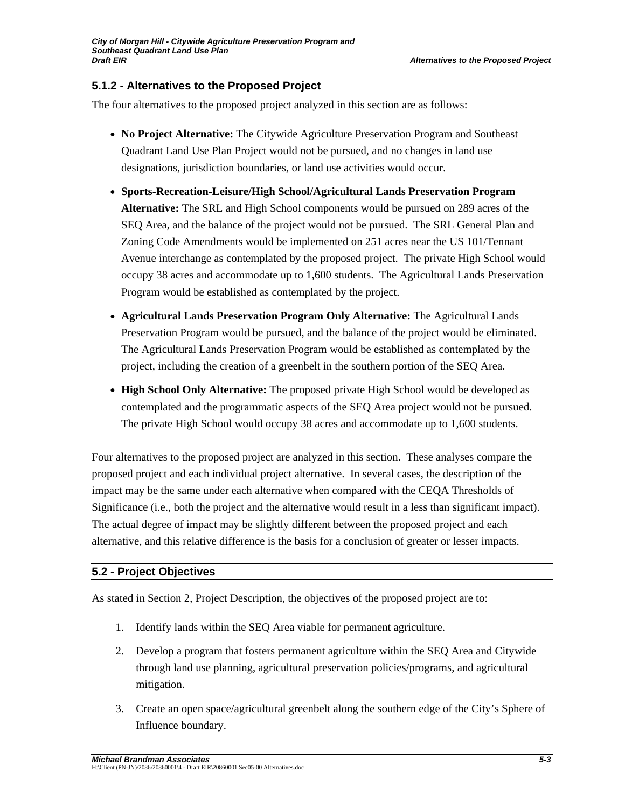### **5.1.2 - Alternatives to the Proposed Project**

The four alternatives to the proposed project analyzed in this section are as follows:

- **No Project Alternative:** The Citywide Agriculture Preservation Program and Southeast Quadrant Land Use Plan Project would not be pursued, and no changes in land use designations, jurisdiction boundaries, or land use activities would occur.
- **Sports-Recreation-Leisure/High School/Agricultural Lands Preservation Program Alternative:** The SRL and High School components would be pursued on 289 acres of the SEQ Area, and the balance of the project would not be pursued. The SRL General Plan and Zoning Code Amendments would be implemented on 251 acres near the US 101/Tennant Avenue interchange as contemplated by the proposed project. The private High School would occupy 38 acres and accommodate up to 1,600 students. The Agricultural Lands Preservation Program would be established as contemplated by the project.
- **Agricultural Lands Preservation Program Only Alternative:** The Agricultural Lands Preservation Program would be pursued, and the balance of the project would be eliminated. The Agricultural Lands Preservation Program would be established as contemplated by the project, including the creation of a greenbelt in the southern portion of the SEQ Area.
- **High School Only Alternative:** The proposed private High School would be developed as contemplated and the programmatic aspects of the SEQ Area project would not be pursued. The private High School would occupy 38 acres and accommodate up to 1,600 students.

Four alternatives to the proposed project are analyzed in this section. These analyses compare the proposed project and each individual project alternative. In several cases, the description of the impact may be the same under each alternative when compared with the CEQA Thresholds of Significance (i.e., both the project and the alternative would result in a less than significant impact). The actual degree of impact may be slightly different between the proposed project and each alternative, and this relative difference is the basis for a conclusion of greater or lesser impacts.

### **5.2 - Project Objectives**

As stated in Section 2, Project Description, the objectives of the proposed project are to:

- 1. Identify lands within the SEQ Area viable for permanent agriculture.
- 2. Develop a program that fosters permanent agriculture within the SEQ Area and Citywide through land use planning, agricultural preservation policies/programs, and agricultural mitigation.
- 3. Create an open space/agricultural greenbelt along the southern edge of the City's Sphere of Influence boundary.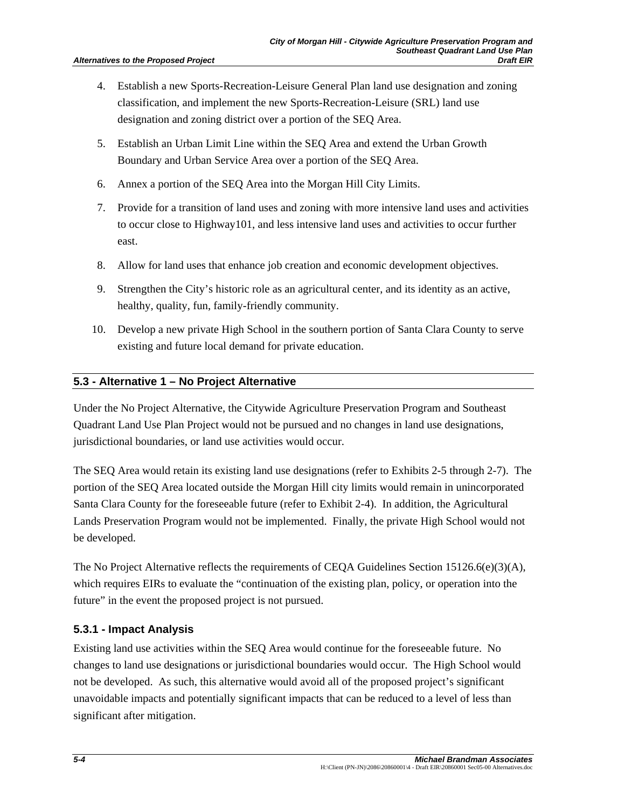- 4. Establish a new Sports-Recreation-Leisure General Plan land use designation and zoning classification, and implement the new Sports-Recreation-Leisure (SRL) land use designation and zoning district over a portion of the SEQ Area.
- 5. Establish an Urban Limit Line within the SEQ Area and extend the Urban Growth Boundary and Urban Service Area over a portion of the SEQ Area.
- 6. Annex a portion of the SEQ Area into the Morgan Hill City Limits.
- 7. Provide for a transition of land uses and zoning with more intensive land uses and activities to occur close to Highway101, and less intensive land uses and activities to occur further east.
- 8. Allow for land uses that enhance job creation and economic development objectives.
- 9. Strengthen the City's historic role as an agricultural center, and its identity as an active, healthy, quality, fun, family-friendly community.
- 10. Develop a new private High School in the southern portion of Santa Clara County to serve existing and future local demand for private education.

## **5.3 - Alternative 1 – No Project Alternative**

Under the No Project Alternative, the Citywide Agriculture Preservation Program and Southeast Quadrant Land Use Plan Project would not be pursued and no changes in land use designations, jurisdictional boundaries, or land use activities would occur.

The SEQ Area would retain its existing land use designations (refer to Exhibits 2-5 through 2-7). The portion of the SEQ Area located outside the Morgan Hill city limits would remain in unincorporated Santa Clara County for the foreseeable future (refer to Exhibit 2-4). In addition, the Agricultural Lands Preservation Program would not be implemented. Finally, the private High School would not be developed.

The No Project Alternative reflects the requirements of CEQA Guidelines Section 15126.6(e)(3)(A), which requires EIRs to evaluate the "continuation of the existing plan, policy, or operation into the future" in the event the proposed project is not pursued.

## **5.3.1 - Impact Analysis**

Existing land use activities within the SEQ Area would continue for the foreseeable future. No changes to land use designations or jurisdictional boundaries would occur. The High School would not be developed. As such, this alternative would avoid all of the proposed project's significant unavoidable impacts and potentially significant impacts that can be reduced to a level of less than significant after mitigation.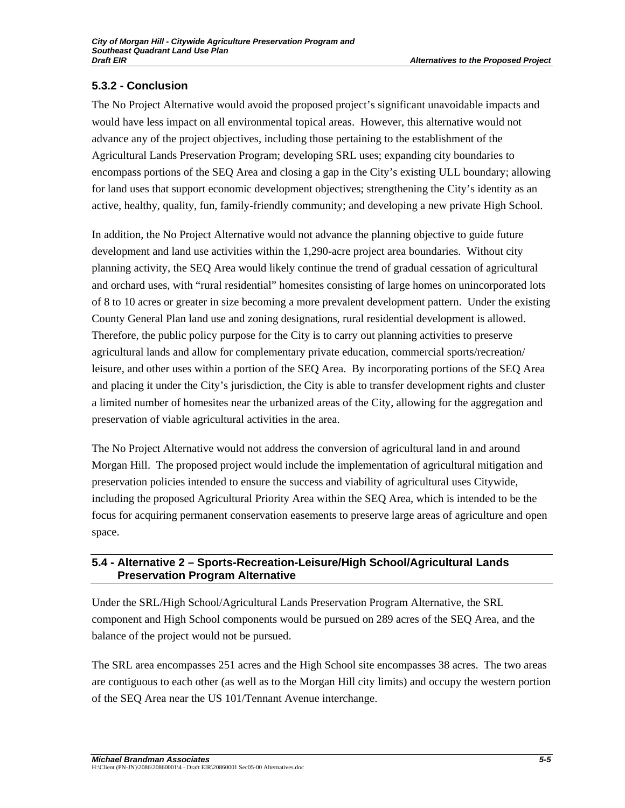# **5.3.2 - Conclusion**

The No Project Alternative would avoid the proposed project's significant unavoidable impacts and would have less impact on all environmental topical areas. However, this alternative would not advance any of the project objectives, including those pertaining to the establishment of the Agricultural Lands Preservation Program; developing SRL uses; expanding city boundaries to encompass portions of the SEQ Area and closing a gap in the City's existing ULL boundary; allowing for land uses that support economic development objectives; strengthening the City's identity as an active, healthy, quality, fun, family-friendly community; and developing a new private High School.

In addition, the No Project Alternative would not advance the planning objective to guide future development and land use activities within the 1,290-acre project area boundaries. Without city planning activity, the SEQ Area would likely continue the trend of gradual cessation of agricultural and orchard uses, with "rural residential" homesites consisting of large homes on unincorporated lots of 8 to 10 acres or greater in size becoming a more prevalent development pattern. Under the existing County General Plan land use and zoning designations, rural residential development is allowed. Therefore, the public policy purpose for the City is to carry out planning activities to preserve agricultural lands and allow for complementary private education, commercial sports/recreation/ leisure, and other uses within a portion of the SEQ Area. By incorporating portions of the SEQ Area and placing it under the City's jurisdiction, the City is able to transfer development rights and cluster a limited number of homesites near the urbanized areas of the City, allowing for the aggregation and preservation of viable agricultural activities in the area.

The No Project Alternative would not address the conversion of agricultural land in and around Morgan Hill. The proposed project would include the implementation of agricultural mitigation and preservation policies intended to ensure the success and viability of agricultural uses Citywide, including the proposed Agricultural Priority Area within the SEQ Area, which is intended to be the focus for acquiring permanent conservation easements to preserve large areas of agriculture and open space.

# **5.4 - Alternative 2 – Sports-Recreation-Leisure/High School/Agricultural Lands Preservation Program Alternative**

Under the SRL/High School/Agricultural Lands Preservation Program Alternative, the SRL component and High School components would be pursued on 289 acres of the SEQ Area, and the balance of the project would not be pursued.

The SRL area encompasses 251 acres and the High School site encompasses 38 acres. The two areas are contiguous to each other (as well as to the Morgan Hill city limits) and occupy the western portion of the SEQ Area near the US 101/Tennant Avenue interchange.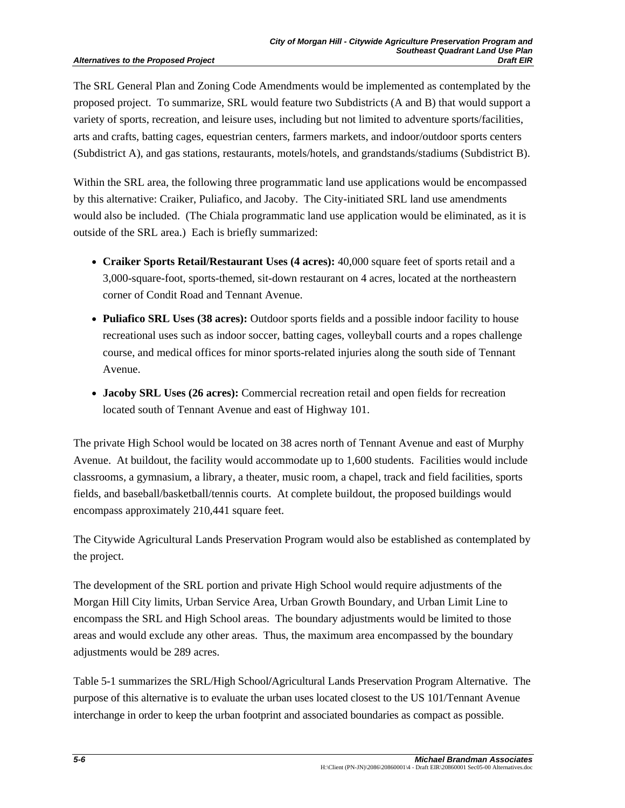The SRL General Plan and Zoning Code Amendments would be implemented as contemplated by the proposed project. To summarize, SRL would feature two Subdistricts (A and B) that would support a variety of sports, recreation, and leisure uses, including but not limited to adventure sports/facilities, arts and crafts, batting cages, equestrian centers, farmers markets, and indoor/outdoor sports centers (Subdistrict A), and gas stations, restaurants, motels/hotels, and grandstands/stadiums (Subdistrict B).

Within the SRL area, the following three programmatic land use applications would be encompassed by this alternative: Craiker, Puliafico, and Jacoby. The City-initiated SRL land use amendments would also be included. (The Chiala programmatic land use application would be eliminated, as it is outside of the SRL area.) Each is briefly summarized:

- **Craiker Sports Retail/Restaurant Uses (4 acres):** 40,000 square feet of sports retail and a 3,000-square-foot, sports-themed, sit-down restaurant on 4 acres, located at the northeastern corner of Condit Road and Tennant Avenue.
- **Puliafico SRL Uses (38 acres):** Outdoor sports fields and a possible indoor facility to house recreational uses such as indoor soccer, batting cages, volleyball courts and a ropes challenge course, and medical offices for minor sports-related injuries along the south side of Tennant Avenue.
- **Jacoby SRL Uses (26 acres):** Commercial recreation retail and open fields for recreation located south of Tennant Avenue and east of Highway 101.

The private High School would be located on 38 acres north of Tennant Avenue and east of Murphy Avenue. At buildout, the facility would accommodate up to 1,600 students. Facilities would include classrooms, a gymnasium, a library, a theater, music room, a chapel, track and field facilities, sports fields, and baseball/basketball/tennis courts. At complete buildout, the proposed buildings would encompass approximately 210,441 square feet.

The Citywide Agricultural Lands Preservation Program would also be established as contemplated by the project.

The development of the SRL portion and private High School would require adjustments of the Morgan Hill City limits, Urban Service Area, Urban Growth Boundary, and Urban Limit Line to encompass the SRL and High School areas. The boundary adjustments would be limited to those areas and would exclude any other areas. Thus, the maximum area encompassed by the boundary adjustments would be 289 acres.

Table 5-1 summarizes the SRL/High School**/**Agricultural Lands Preservation Program Alternative. The purpose of this alternative is to evaluate the urban uses located closest to the US 101/Tennant Avenue interchange in order to keep the urban footprint and associated boundaries as compact as possible.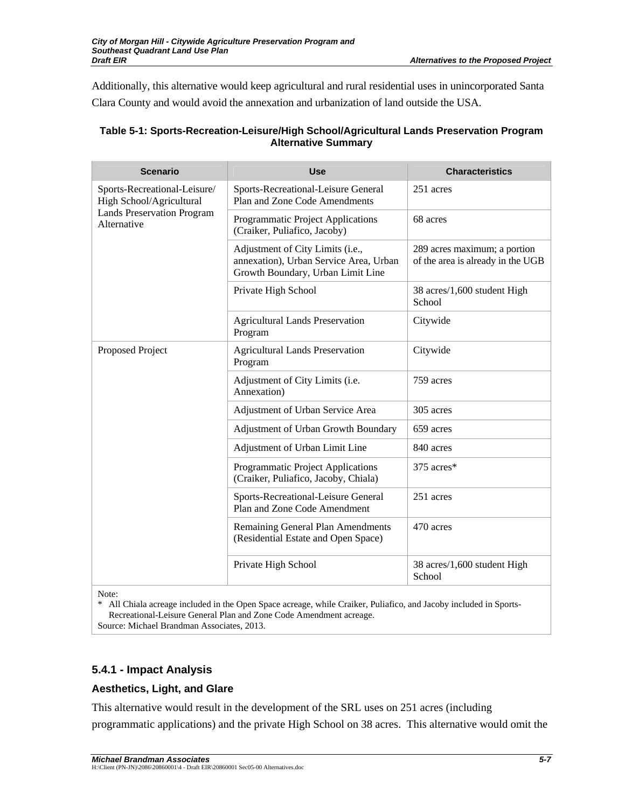Additionally, this alternative would keep agricultural and rural residential uses in unincorporated Santa Clara County and would avoid the annexation and urbanization of land outside the USA.

| <b>Scenario</b>                                          | <b>Use</b>                                                                                                      | <b>Characteristics</b>                                            |  |
|----------------------------------------------------------|-----------------------------------------------------------------------------------------------------------------|-------------------------------------------------------------------|--|
| Sports-Recreational-Leisure/<br>High School/Agricultural | Sports-Recreational-Leisure General<br>Plan and Zone Code Amendments                                            | 251 acres                                                         |  |
| <b>Lands Preservation Program</b><br>Alternative         | Programmatic Project Applications<br>(Craiker, Puliafico, Jacoby)                                               | 68 acres                                                          |  |
|                                                          | Adjustment of City Limits (i.e.,<br>annexation), Urban Service Area, Urban<br>Growth Boundary, Urban Limit Line | 289 acres maximum; a portion<br>of the area is already in the UGB |  |
|                                                          | Private High School                                                                                             | 38 acres/1,600 student High<br>School                             |  |
|                                                          | <b>Agricultural Lands Preservation</b><br>Program                                                               | Citywide                                                          |  |
| Proposed Project                                         | <b>Agricultural Lands Preservation</b><br>Program                                                               | Citywide                                                          |  |
|                                                          | Adjustment of City Limits (i.e.<br>Annexation)                                                                  | 759 acres                                                         |  |
|                                                          | Adjustment of Urban Service Area                                                                                | 305 acres                                                         |  |
|                                                          | Adjustment of Urban Growth Boundary                                                                             | 659 acres                                                         |  |
|                                                          | Adjustment of Urban Limit Line                                                                                  | 840 acres                                                         |  |
|                                                          | Programmatic Project Applications<br>(Craiker, Puliafico, Jacoby, Chiala)                                       | 375 acres*                                                        |  |
|                                                          | Sports-Recreational-Leisure General<br>Plan and Zone Code Amendment                                             | 251 acres                                                         |  |
|                                                          | Remaining General Plan Amendments<br>(Residential Estate and Open Space)                                        | 470 acres                                                         |  |
|                                                          | Private High School                                                                                             | 38 acres/1,600 student High<br>School                             |  |

### **Table 5-1: Sports-Recreation-Leisure/High School/Agricultural Lands Preservation Program Alternative Summary**

Note:

\* All Chiala acreage included in the Open Space acreage, while Craiker, Puliafico, and Jacoby included in Sports-Recreational-Leisure General Plan and Zone Code Amendment acreage. Source: Michael Brandman Associates, 2013.

## **5.4.1 - Impact Analysis**

## **Aesthetics, Light, and Glare**

This alternative would result in the development of the SRL uses on 251 acres (including programmatic applications) and the private High School on 38 acres. This alternative would omit the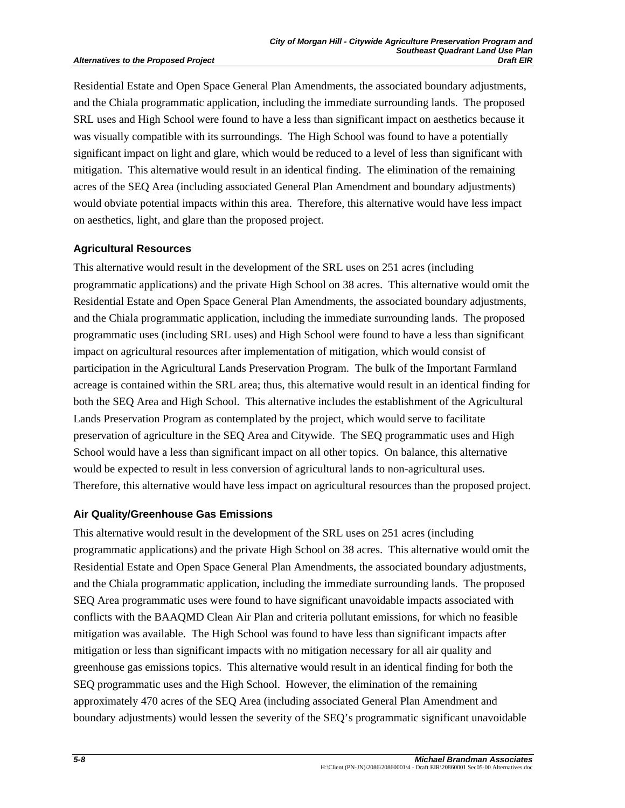#### **Alternatives to the Proposed Project**

Residential Estate and Open Space General Plan Amendments, the associated boundary adjustments, and the Chiala programmatic application, including the immediate surrounding lands. The proposed SRL uses and High School were found to have a less than significant impact on aesthetics because it was visually compatible with its surroundings. The High School was found to have a potentially significant impact on light and glare, which would be reduced to a level of less than significant with mitigation. This alternative would result in an identical finding. The elimination of the remaining acres of the SEQ Area (including associated General Plan Amendment and boundary adjustments) would obviate potential impacts within this area. Therefore, this alternative would have less impact on aesthetics, light, and glare than the proposed project.

#### **Agricultural Resources**

This alternative would result in the development of the SRL uses on 251 acres (including programmatic applications) and the private High School on 38 acres. This alternative would omit the Residential Estate and Open Space General Plan Amendments, the associated boundary adjustments, and the Chiala programmatic application, including the immediate surrounding lands. The proposed programmatic uses (including SRL uses) and High School were found to have a less than significant impact on agricultural resources after implementation of mitigation, which would consist of participation in the Agricultural Lands Preservation Program. The bulk of the Important Farmland acreage is contained within the SRL area; thus, this alternative would result in an identical finding for both the SEQ Area and High School. This alternative includes the establishment of the Agricultural Lands Preservation Program as contemplated by the project, which would serve to facilitate preservation of agriculture in the SEQ Area and Citywide. The SEQ programmatic uses and High School would have a less than significant impact on all other topics. On balance, this alternative would be expected to result in less conversion of agricultural lands to non-agricultural uses. Therefore, this alternative would have less impact on agricultural resources than the proposed project.

### **Air Quality/Greenhouse Gas Emissions**

This alternative would result in the development of the SRL uses on 251 acres (including programmatic applications) and the private High School on 38 acres. This alternative would omit the Residential Estate and Open Space General Plan Amendments, the associated boundary adjustments, and the Chiala programmatic application, including the immediate surrounding lands. The proposed SEQ Area programmatic uses were found to have significant unavoidable impacts associated with conflicts with the BAAQMD Clean Air Plan and criteria pollutant emissions, for which no feasible mitigation was available. The High School was found to have less than significant impacts after mitigation or less than significant impacts with no mitigation necessary for all air quality and greenhouse gas emissions topics. This alternative would result in an identical finding for both the SEQ programmatic uses and the High School. However, the elimination of the remaining approximately 470 acres of the SEQ Area (including associated General Plan Amendment and boundary adjustments) would lessen the severity of the SEQ's programmatic significant unavoidable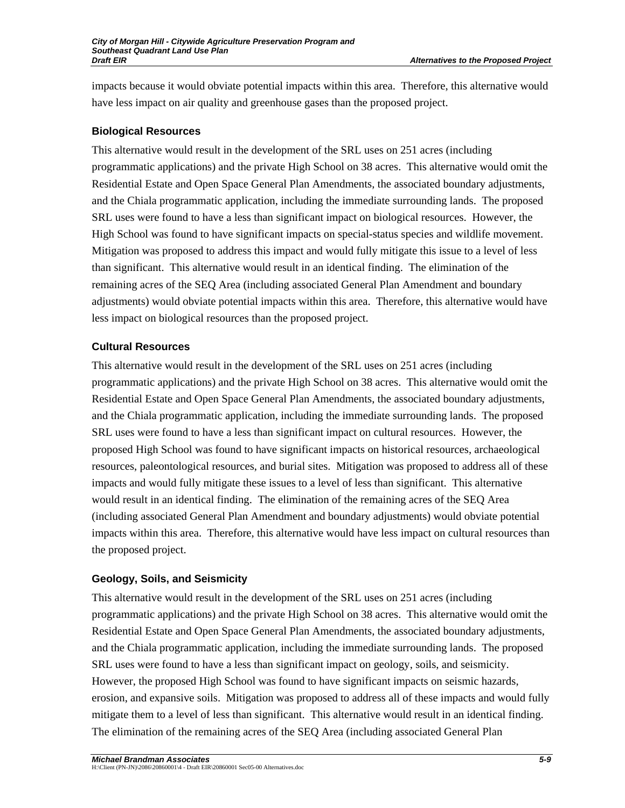impacts because it would obviate potential impacts within this area. Therefore, this alternative would have less impact on air quality and greenhouse gases than the proposed project.

### **Biological Resources**

This alternative would result in the development of the SRL uses on 251 acres (including programmatic applications) and the private High School on 38 acres. This alternative would omit the Residential Estate and Open Space General Plan Amendments, the associated boundary adjustments, and the Chiala programmatic application, including the immediate surrounding lands. The proposed SRL uses were found to have a less than significant impact on biological resources. However, the High School was found to have significant impacts on special-status species and wildlife movement. Mitigation was proposed to address this impact and would fully mitigate this issue to a level of less than significant. This alternative would result in an identical finding. The elimination of the remaining acres of the SEQ Area (including associated General Plan Amendment and boundary adjustments) would obviate potential impacts within this area. Therefore, this alternative would have less impact on biological resources than the proposed project.

### **Cultural Resources**

This alternative would result in the development of the SRL uses on 251 acres (including programmatic applications) and the private High School on 38 acres. This alternative would omit the Residential Estate and Open Space General Plan Amendments, the associated boundary adjustments, and the Chiala programmatic application, including the immediate surrounding lands. The proposed SRL uses were found to have a less than significant impact on cultural resources. However, the proposed High School was found to have significant impacts on historical resources, archaeological resources, paleontological resources, and burial sites. Mitigation was proposed to address all of these impacts and would fully mitigate these issues to a level of less than significant. This alternative would result in an identical finding. The elimination of the remaining acres of the SEQ Area (including associated General Plan Amendment and boundary adjustments) would obviate potential impacts within this area. Therefore, this alternative would have less impact on cultural resources than the proposed project.

## **Geology, Soils, and Seismicity**

This alternative would result in the development of the SRL uses on 251 acres (including programmatic applications) and the private High School on 38 acres. This alternative would omit the Residential Estate and Open Space General Plan Amendments, the associated boundary adjustments, and the Chiala programmatic application, including the immediate surrounding lands. The proposed SRL uses were found to have a less than significant impact on geology, soils, and seismicity. However, the proposed High School was found to have significant impacts on seismic hazards, erosion, and expansive soils. Mitigation was proposed to address all of these impacts and would fully mitigate them to a level of less than significant. This alternative would result in an identical finding. The elimination of the remaining acres of the SEQ Area (including associated General Plan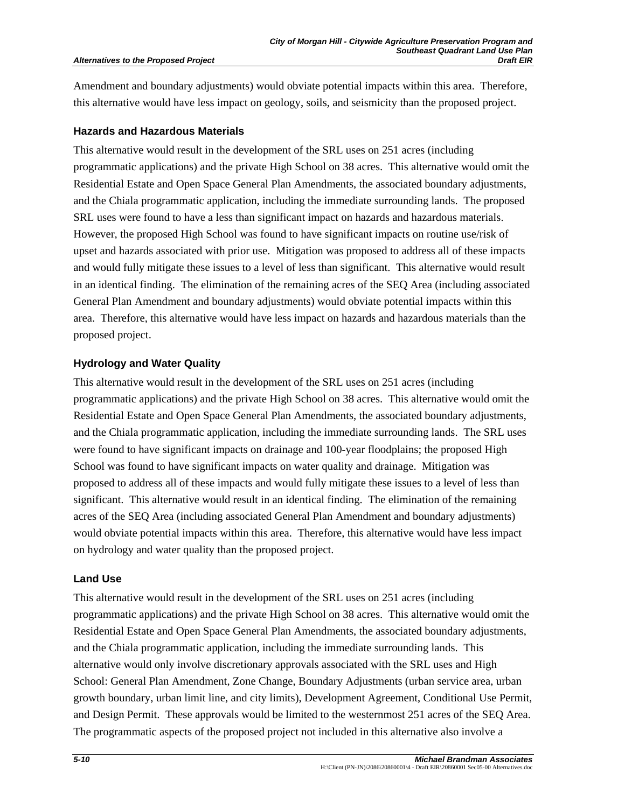#### **Alternatives to the Proposed Project**

Amendment and boundary adjustments) would obviate potential impacts within this area. Therefore, this alternative would have less impact on geology, soils, and seismicity than the proposed project.

#### **Hazards and Hazardous Materials**

This alternative would result in the development of the SRL uses on 251 acres (including programmatic applications) and the private High School on 38 acres. This alternative would omit the Residential Estate and Open Space General Plan Amendments, the associated boundary adjustments, and the Chiala programmatic application, including the immediate surrounding lands. The proposed SRL uses were found to have a less than significant impact on hazards and hazardous materials. However, the proposed High School was found to have significant impacts on routine use/risk of upset and hazards associated with prior use. Mitigation was proposed to address all of these impacts and would fully mitigate these issues to a level of less than significant. This alternative would result in an identical finding. The elimination of the remaining acres of the SEQ Area (including associated General Plan Amendment and boundary adjustments) would obviate potential impacts within this area. Therefore, this alternative would have less impact on hazards and hazardous materials than the proposed project.

### **Hydrology and Water Quality**

This alternative would result in the development of the SRL uses on 251 acres (including programmatic applications) and the private High School on 38 acres. This alternative would omit the Residential Estate and Open Space General Plan Amendments, the associated boundary adjustments, and the Chiala programmatic application, including the immediate surrounding lands. The SRL uses were found to have significant impacts on drainage and 100-year floodplains; the proposed High School was found to have significant impacts on water quality and drainage. Mitigation was proposed to address all of these impacts and would fully mitigate these issues to a level of less than significant. This alternative would result in an identical finding. The elimination of the remaining acres of the SEQ Area (including associated General Plan Amendment and boundary adjustments) would obviate potential impacts within this area. Therefore, this alternative would have less impact on hydrology and water quality than the proposed project.

#### **Land Use**

This alternative would result in the development of the SRL uses on 251 acres (including programmatic applications) and the private High School on 38 acres. This alternative would omit the Residential Estate and Open Space General Plan Amendments, the associated boundary adjustments, and the Chiala programmatic application, including the immediate surrounding lands. This alternative would only involve discretionary approvals associated with the SRL uses and High School: General Plan Amendment, Zone Change, Boundary Adjustments (urban service area, urban growth boundary, urban limit line, and city limits), Development Agreement, Conditional Use Permit, and Design Permit. These approvals would be limited to the westernmost 251 acres of the SEQ Area. The programmatic aspects of the proposed project not included in this alternative also involve a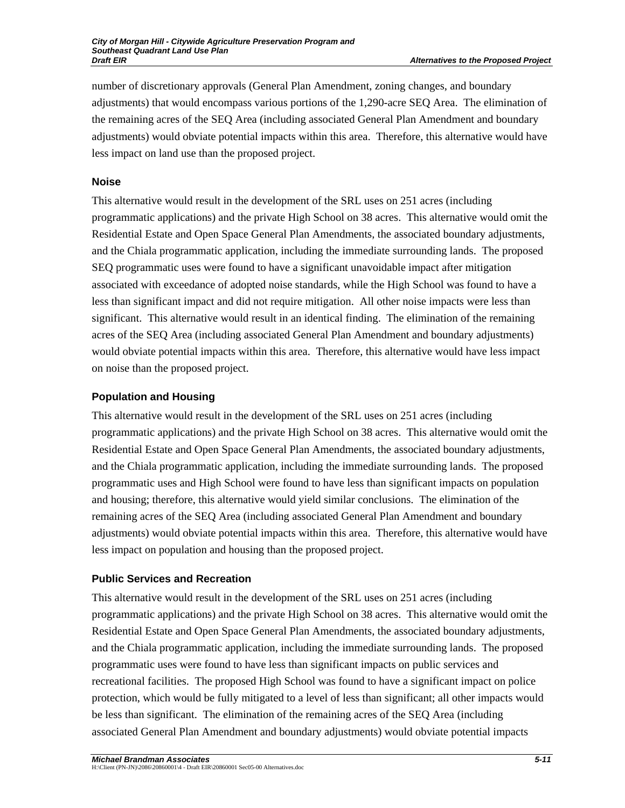number of discretionary approvals (General Plan Amendment, zoning changes, and boundary adjustments) that would encompass various portions of the 1,290-acre SEQ Area. The elimination of the remaining acres of the SEQ Area (including associated General Plan Amendment and boundary adjustments) would obviate potential impacts within this area. Therefore, this alternative would have less impact on land use than the proposed project.

### **Noise**

This alternative would result in the development of the SRL uses on 251 acres (including programmatic applications) and the private High School on 38 acres. This alternative would omit the Residential Estate and Open Space General Plan Amendments, the associated boundary adjustments, and the Chiala programmatic application, including the immediate surrounding lands. The proposed SEQ programmatic uses were found to have a significant unavoidable impact after mitigation associated with exceedance of adopted noise standards, while the High School was found to have a less than significant impact and did not require mitigation. All other noise impacts were less than significant. This alternative would result in an identical finding. The elimination of the remaining acres of the SEQ Area (including associated General Plan Amendment and boundary adjustments) would obviate potential impacts within this area. Therefore, this alternative would have less impact on noise than the proposed project.

## **Population and Housing**

This alternative would result in the development of the SRL uses on 251 acres (including programmatic applications) and the private High School on 38 acres. This alternative would omit the Residential Estate and Open Space General Plan Amendments, the associated boundary adjustments, and the Chiala programmatic application, including the immediate surrounding lands. The proposed programmatic uses and High School were found to have less than significant impacts on population and housing; therefore, this alternative would yield similar conclusions. The elimination of the remaining acres of the SEQ Area (including associated General Plan Amendment and boundary adjustments) would obviate potential impacts within this area. Therefore, this alternative would have less impact on population and housing than the proposed project.

## **Public Services and Recreation**

This alternative would result in the development of the SRL uses on 251 acres (including programmatic applications) and the private High School on 38 acres. This alternative would omit the Residential Estate and Open Space General Plan Amendments, the associated boundary adjustments, and the Chiala programmatic application, including the immediate surrounding lands. The proposed programmatic uses were found to have less than significant impacts on public services and recreational facilities. The proposed High School was found to have a significant impact on police protection, which would be fully mitigated to a level of less than significant; all other impacts would be less than significant. The elimination of the remaining acres of the SEQ Area (including associated General Plan Amendment and boundary adjustments) would obviate potential impacts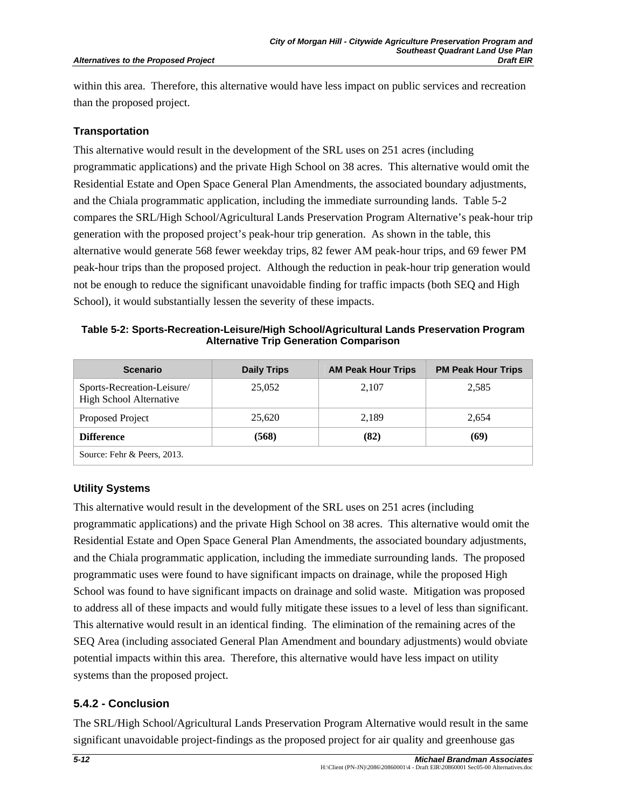within this area. Therefore, this alternative would have less impact on public services and recreation than the proposed project.

### **Transportation**

This alternative would result in the development of the SRL uses on 251 acres (including programmatic applications) and the private High School on 38 acres. This alternative would omit the Residential Estate and Open Space General Plan Amendments, the associated boundary adjustments, and the Chiala programmatic application, including the immediate surrounding lands. Table 5-2 compares the SRL/High School/Agricultural Lands Preservation Program Alternative's peak-hour trip generation with the proposed project's peak-hour trip generation. As shown in the table, this alternative would generate 568 fewer weekday trips, 82 fewer AM peak-hour trips, and 69 fewer PM peak-hour trips than the proposed project. Although the reduction in peak-hour trip generation would not be enough to reduce the significant unavoidable finding for traffic impacts (both SEQ and High School), it would substantially lessen the severity of these impacts.

**Table 5-2: Sports-Recreation-Leisure/High School/Agricultural Lands Preservation Program Alternative Trip Generation Comparison** 

| <b>Scenario</b>                                              | <b>Daily Trips</b> | <b>AM Peak Hour Trips</b> | <b>PM Peak Hour Trips</b> |
|--------------------------------------------------------------|--------------------|---------------------------|---------------------------|
| Sports-Recreation-Leisure/<br><b>High School Alternative</b> | 25,052             | 2,107                     | 2,585                     |
| Proposed Project                                             | 25,620             | 2,189                     | 2,654                     |
| <b>Difference</b>                                            | (568)              | (82)                      | (69)                      |
| Source: Fehr & Peers, 2013.                                  |                    |                           |                           |

## **Utility Systems**

This alternative would result in the development of the SRL uses on 251 acres (including programmatic applications) and the private High School on 38 acres. This alternative would omit the Residential Estate and Open Space General Plan Amendments, the associated boundary adjustments, and the Chiala programmatic application, including the immediate surrounding lands. The proposed programmatic uses were found to have significant impacts on drainage, while the proposed High School was found to have significant impacts on drainage and solid waste. Mitigation was proposed to address all of these impacts and would fully mitigate these issues to a level of less than significant. This alternative would result in an identical finding. The elimination of the remaining acres of the SEQ Area (including associated General Plan Amendment and boundary adjustments) would obviate potential impacts within this area. Therefore, this alternative would have less impact on utility systems than the proposed project.

## **5.4.2 - Conclusion**

The SRL/High School/Agricultural Lands Preservation Program Alternative would result in the same significant unavoidable project-findings as the proposed project for air quality and greenhouse gas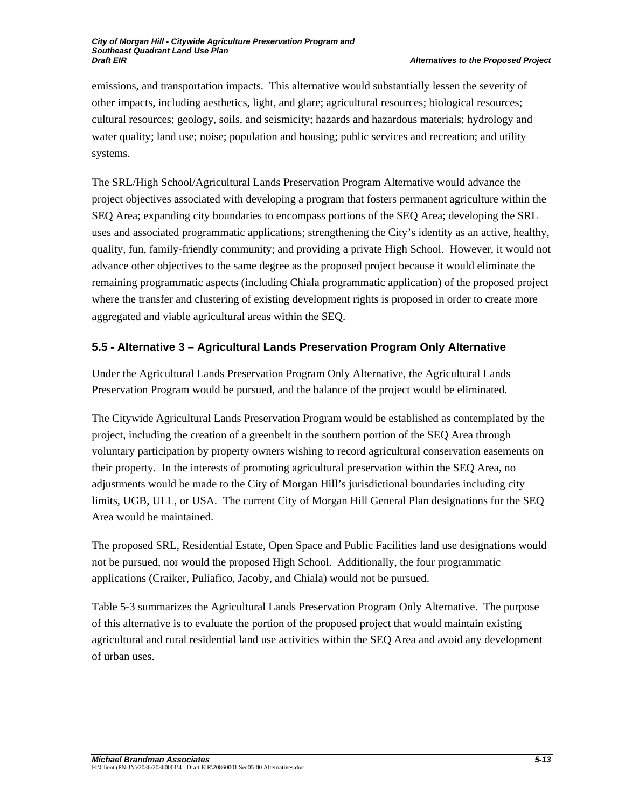emissions, and transportation impacts. This alternative would substantially lessen the severity of other impacts, including aesthetics, light, and glare; agricultural resources; biological resources; cultural resources; geology, soils, and seismicity; hazards and hazardous materials; hydrology and water quality; land use; noise; population and housing; public services and recreation; and utility systems.

The SRL/High School/Agricultural Lands Preservation Program Alternative would advance the project objectives associated with developing a program that fosters permanent agriculture within the SEQ Area; expanding city boundaries to encompass portions of the SEQ Area; developing the SRL uses and associated programmatic applications; strengthening the City's identity as an active, healthy, quality, fun, family-friendly community; and providing a private High School. However, it would not advance other objectives to the same degree as the proposed project because it would eliminate the remaining programmatic aspects (including Chiala programmatic application) of the proposed project where the transfer and clustering of existing development rights is proposed in order to create more aggregated and viable agricultural areas within the SEQ.

# **5.5 - Alternative 3 – Agricultural Lands Preservation Program Only Alternative**

Under the Agricultural Lands Preservation Program Only Alternative, the Agricultural Lands Preservation Program would be pursued, and the balance of the project would be eliminated.

The Citywide Agricultural Lands Preservation Program would be established as contemplated by the project, including the creation of a greenbelt in the southern portion of the SEQ Area through voluntary participation by property owners wishing to record agricultural conservation easements on their property. In the interests of promoting agricultural preservation within the SEQ Area, no adjustments would be made to the City of Morgan Hill's jurisdictional boundaries including city limits, UGB, ULL, or USA. The current City of Morgan Hill General Plan designations for the SEQ Area would be maintained.

The proposed SRL, Residential Estate, Open Space and Public Facilities land use designations would not be pursued, nor would the proposed High School. Additionally, the four programmatic applications (Craiker, Puliafico, Jacoby, and Chiala) would not be pursued.

Table 5-3 summarizes the Agricultural Lands Preservation Program Only Alternative. The purpose of this alternative is to evaluate the portion of the proposed project that would maintain existing agricultural and rural residential land use activities within the SEQ Area and avoid any development of urban uses.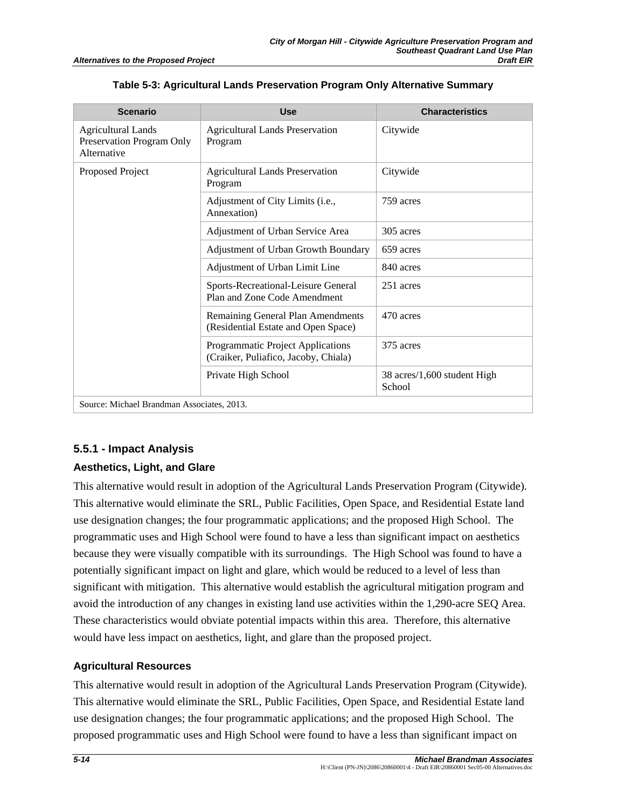| <b>Scenario</b>                                                       | Use                                                                       | <b>Characteristics</b>                |  |  |  |  |
|-----------------------------------------------------------------------|---------------------------------------------------------------------------|---------------------------------------|--|--|--|--|
| <b>Agricultural Lands</b><br>Preservation Program Only<br>Alternative | <b>Agricultural Lands Preservation</b><br>Program                         | Citywide                              |  |  |  |  |
| Proposed Project                                                      | <b>Agricultural Lands Preservation</b><br>Program                         | Citywide                              |  |  |  |  |
|                                                                       | Adjustment of City Limits (i.e.,<br>Annexation)                           | 759 acres                             |  |  |  |  |
|                                                                       | Adjustment of Urban Service Area                                          | 305 acres                             |  |  |  |  |
|                                                                       | Adjustment of Urban Growth Boundary                                       | 659 acres                             |  |  |  |  |
|                                                                       | Adjustment of Urban Limit Line                                            | 840 acres                             |  |  |  |  |
|                                                                       | Sports-Recreational-Leisure General<br>Plan and Zone Code Amendment       | 251 acres                             |  |  |  |  |
|                                                                       | Remaining General Plan Amendments<br>(Residential Estate and Open Space)  | 470 acres                             |  |  |  |  |
|                                                                       | Programmatic Project Applications<br>(Craiker, Puliafico, Jacoby, Chiala) | 375 acres                             |  |  |  |  |
|                                                                       | Private High School                                                       | 38 acres/1,600 student High<br>School |  |  |  |  |
| Source: Michael Brandman Associates, 2013.                            |                                                                           |                                       |  |  |  |  |

**Table 5-3: Agricultural Lands Preservation Program Only Alternative Summary** 

### **5.5.1 - Impact Analysis**

### **Aesthetics, Light, and Glare**

This alternative would result in adoption of the Agricultural Lands Preservation Program (Citywide). This alternative would eliminate the SRL, Public Facilities, Open Space, and Residential Estate land use designation changes; the four programmatic applications; and the proposed High School. The programmatic uses and High School were found to have a less than significant impact on aesthetics because they were visually compatible with its surroundings. The High School was found to have a potentially significant impact on light and glare, which would be reduced to a level of less than significant with mitigation. This alternative would establish the agricultural mitigation program and avoid the introduction of any changes in existing land use activities within the 1,290-acre SEQ Area. These characteristics would obviate potential impacts within this area. Therefore, this alternative would have less impact on aesthetics, light, and glare than the proposed project.

## **Agricultural Resources**

This alternative would result in adoption of the Agricultural Lands Preservation Program (Citywide). This alternative would eliminate the SRL, Public Facilities, Open Space, and Residential Estate land use designation changes; the four programmatic applications; and the proposed High School. The proposed programmatic uses and High School were found to have a less than significant impact on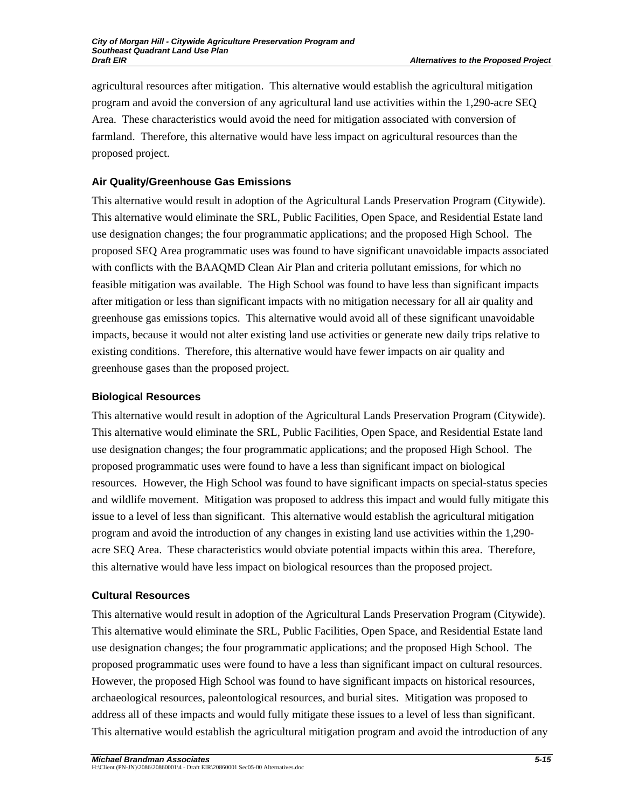agricultural resources after mitigation. This alternative would establish the agricultural mitigation program and avoid the conversion of any agricultural land use activities within the 1,290-acre SEQ Area. These characteristics would avoid the need for mitigation associated with conversion of farmland. Therefore, this alternative would have less impact on agricultural resources than the proposed project.

## **Air Quality/Greenhouse Gas Emissions**

This alternative would result in adoption of the Agricultural Lands Preservation Program (Citywide). This alternative would eliminate the SRL, Public Facilities, Open Space, and Residential Estate land use designation changes; the four programmatic applications; and the proposed High School. The proposed SEQ Area programmatic uses was found to have significant unavoidable impacts associated with conflicts with the BAAQMD Clean Air Plan and criteria pollutant emissions, for which no feasible mitigation was available. The High School was found to have less than significant impacts after mitigation or less than significant impacts with no mitigation necessary for all air quality and greenhouse gas emissions topics. This alternative would avoid all of these significant unavoidable impacts, because it would not alter existing land use activities or generate new daily trips relative to existing conditions. Therefore, this alternative would have fewer impacts on air quality and greenhouse gases than the proposed project.

## **Biological Resources**

This alternative would result in adoption of the Agricultural Lands Preservation Program (Citywide). This alternative would eliminate the SRL, Public Facilities, Open Space, and Residential Estate land use designation changes; the four programmatic applications; and the proposed High School. The proposed programmatic uses were found to have a less than significant impact on biological resources. However, the High School was found to have significant impacts on special-status species and wildlife movement. Mitigation was proposed to address this impact and would fully mitigate this issue to a level of less than significant. This alternative would establish the agricultural mitigation program and avoid the introduction of any changes in existing land use activities within the 1,290 acre SEQ Area. These characteristics would obviate potential impacts within this area. Therefore, this alternative would have less impact on biological resources than the proposed project.

## **Cultural Resources**

This alternative would result in adoption of the Agricultural Lands Preservation Program (Citywide). This alternative would eliminate the SRL, Public Facilities, Open Space, and Residential Estate land use designation changes; the four programmatic applications; and the proposed High School. The proposed programmatic uses were found to have a less than significant impact on cultural resources. However, the proposed High School was found to have significant impacts on historical resources, archaeological resources, paleontological resources, and burial sites. Mitigation was proposed to address all of these impacts and would fully mitigate these issues to a level of less than significant. This alternative would establish the agricultural mitigation program and avoid the introduction of any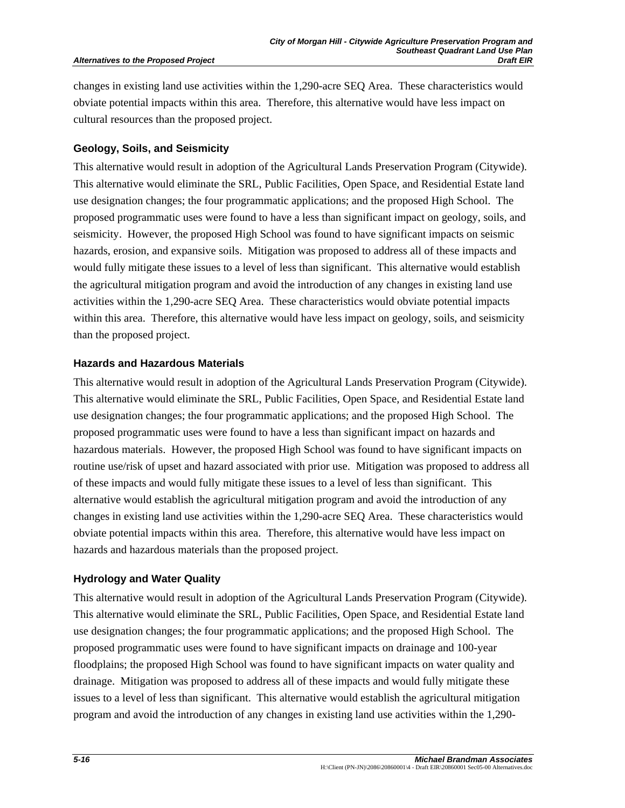#### **Alternatives to the Proposed Project**

changes in existing land use activities within the 1,290-acre SEQ Area. These characteristics would obviate potential impacts within this area. Therefore, this alternative would have less impact on cultural resources than the proposed project.

#### **Geology, Soils, and Seismicity**

This alternative would result in adoption of the Agricultural Lands Preservation Program (Citywide). This alternative would eliminate the SRL, Public Facilities, Open Space, and Residential Estate land use designation changes; the four programmatic applications; and the proposed High School. The proposed programmatic uses were found to have a less than significant impact on geology, soils, and seismicity. However, the proposed High School was found to have significant impacts on seismic hazards, erosion, and expansive soils. Mitigation was proposed to address all of these impacts and would fully mitigate these issues to a level of less than significant. This alternative would establish the agricultural mitigation program and avoid the introduction of any changes in existing land use activities within the 1,290-acre SEQ Area. These characteristics would obviate potential impacts within this area. Therefore, this alternative would have less impact on geology, soils, and seismicity than the proposed project.

#### **Hazards and Hazardous Materials**

This alternative would result in adoption of the Agricultural Lands Preservation Program (Citywide). This alternative would eliminate the SRL, Public Facilities, Open Space, and Residential Estate land use designation changes; the four programmatic applications; and the proposed High School. The proposed programmatic uses were found to have a less than significant impact on hazards and hazardous materials. However, the proposed High School was found to have significant impacts on routine use/risk of upset and hazard associated with prior use. Mitigation was proposed to address all of these impacts and would fully mitigate these issues to a level of less than significant. This alternative would establish the agricultural mitigation program and avoid the introduction of any changes in existing land use activities within the 1,290-acre SEQ Area. These characteristics would obviate potential impacts within this area. Therefore, this alternative would have less impact on hazards and hazardous materials than the proposed project.

### **Hydrology and Water Quality**

This alternative would result in adoption of the Agricultural Lands Preservation Program (Citywide). This alternative would eliminate the SRL, Public Facilities, Open Space, and Residential Estate land use designation changes; the four programmatic applications; and the proposed High School. The proposed programmatic uses were found to have significant impacts on drainage and 100-year floodplains; the proposed High School was found to have significant impacts on water quality and drainage. Mitigation was proposed to address all of these impacts and would fully mitigate these issues to a level of less than significant. This alternative would establish the agricultural mitigation program and avoid the introduction of any changes in existing land use activities within the 1,290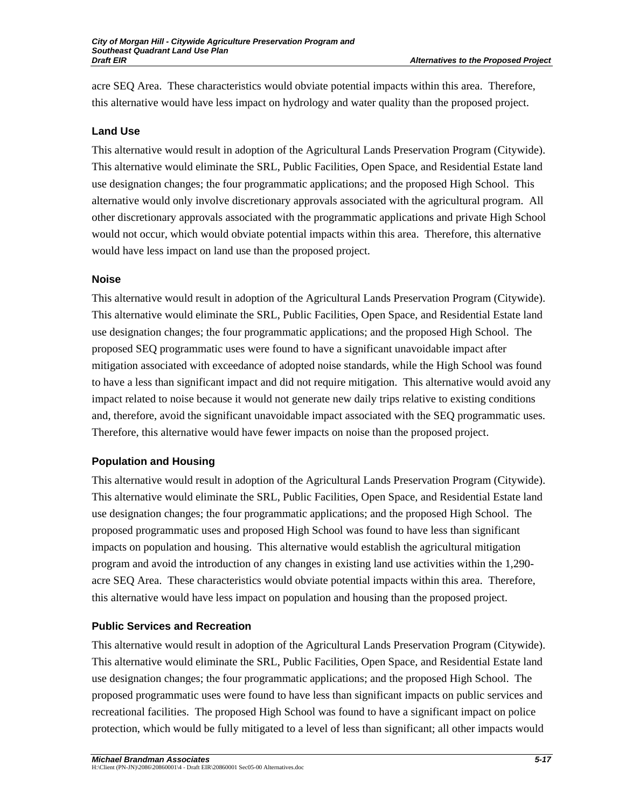acre SEQ Area. These characteristics would obviate potential impacts within this area. Therefore, this alternative would have less impact on hydrology and water quality than the proposed project.

## **Land Use**

This alternative would result in adoption of the Agricultural Lands Preservation Program (Citywide). This alternative would eliminate the SRL, Public Facilities, Open Space, and Residential Estate land use designation changes; the four programmatic applications; and the proposed High School. This alternative would only involve discretionary approvals associated with the agricultural program. All other discretionary approvals associated with the programmatic applications and private High School would not occur, which would obviate potential impacts within this area. Therefore, this alternative would have less impact on land use than the proposed project.

### **Noise**

This alternative would result in adoption of the Agricultural Lands Preservation Program (Citywide). This alternative would eliminate the SRL, Public Facilities, Open Space, and Residential Estate land use designation changes; the four programmatic applications; and the proposed High School. The proposed SEQ programmatic uses were found to have a significant unavoidable impact after mitigation associated with exceedance of adopted noise standards, while the High School was found to have a less than significant impact and did not require mitigation. This alternative would avoid any impact related to noise because it would not generate new daily trips relative to existing conditions and, therefore, avoid the significant unavoidable impact associated with the SEQ programmatic uses. Therefore, this alternative would have fewer impacts on noise than the proposed project.

## **Population and Housing**

This alternative would result in adoption of the Agricultural Lands Preservation Program (Citywide). This alternative would eliminate the SRL, Public Facilities, Open Space, and Residential Estate land use designation changes; the four programmatic applications; and the proposed High School. The proposed programmatic uses and proposed High School was found to have less than significant impacts on population and housing. This alternative would establish the agricultural mitigation program and avoid the introduction of any changes in existing land use activities within the 1,290 acre SEQ Area. These characteristics would obviate potential impacts within this area. Therefore, this alternative would have less impact on population and housing than the proposed project.

## **Public Services and Recreation**

This alternative would result in adoption of the Agricultural Lands Preservation Program (Citywide). This alternative would eliminate the SRL, Public Facilities, Open Space, and Residential Estate land use designation changes; the four programmatic applications; and the proposed High School. The proposed programmatic uses were found to have less than significant impacts on public services and recreational facilities. The proposed High School was found to have a significant impact on police protection, which would be fully mitigated to a level of less than significant; all other impacts would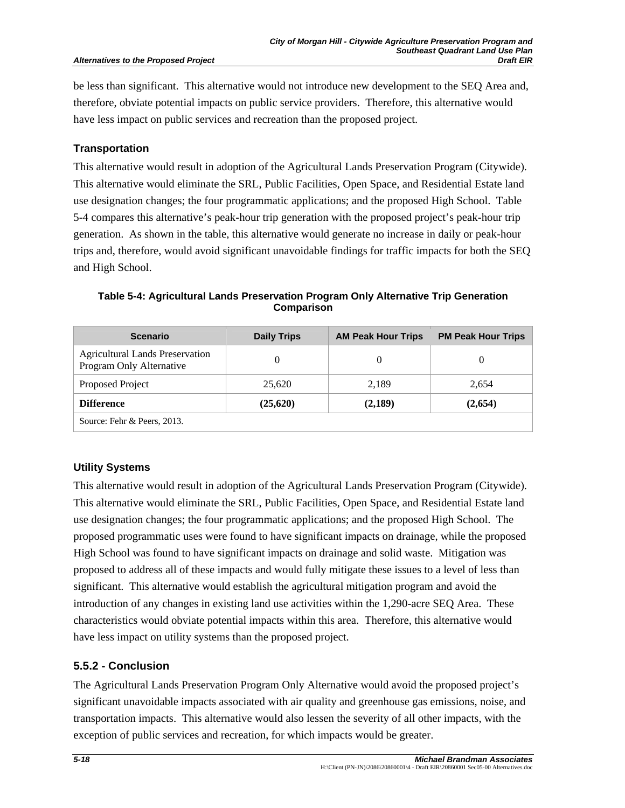be less than significant. This alternative would not introduce new development to the SEQ Area and, therefore, obviate potential impacts on public service providers. Therefore, this alternative would have less impact on public services and recreation than the proposed project.

#### **Transportation**

This alternative would result in adoption of the Agricultural Lands Preservation Program (Citywide). This alternative would eliminate the SRL, Public Facilities, Open Space, and Residential Estate land use designation changes; the four programmatic applications; and the proposed High School. Table 5-4 compares this alternative's peak-hour trip generation with the proposed project's peak-hour trip generation. As shown in the table, this alternative would generate no increase in daily or peak-hour trips and, therefore, would avoid significant unavoidable findings for traffic impacts for both the SEQ and High School.

| <b>Scenario</b>                                                    | <b>Daily Trips</b> | <b>AM Peak Hour Trips</b> | <b>PM Peak Hour Trips</b> |
|--------------------------------------------------------------------|--------------------|---------------------------|---------------------------|
| <b>Agricultural Lands Preservation</b><br>Program Only Alternative |                    |                           | $\theta$                  |
| Proposed Project                                                   | 25,620             | 2,189                     | 2,654                     |
| <b>Difference</b>                                                  | (25,620)           | (2,189)                   | (2,654)                   |
| Source: Fehr & Peers, 2013.                                        |                    |                           |                           |

**Table 5-4: Agricultural Lands Preservation Program Only Alternative Trip Generation Comparison** 

### **Utility Systems**

This alternative would result in adoption of the Agricultural Lands Preservation Program (Citywide). This alternative would eliminate the SRL, Public Facilities, Open Space, and Residential Estate land use designation changes; the four programmatic applications; and the proposed High School. The proposed programmatic uses were found to have significant impacts on drainage, while the proposed High School was found to have significant impacts on drainage and solid waste. Mitigation was proposed to address all of these impacts and would fully mitigate these issues to a level of less than significant. This alternative would establish the agricultural mitigation program and avoid the introduction of any changes in existing land use activities within the 1,290-acre SEQ Area. These characteristics would obviate potential impacts within this area. Therefore, this alternative would have less impact on utility systems than the proposed project.

## **5.5.2 - Conclusion**

The Agricultural Lands Preservation Program Only Alternative would avoid the proposed project's significant unavoidable impacts associated with air quality and greenhouse gas emissions, noise, and transportation impacts. This alternative would also lessen the severity of all other impacts, with the exception of public services and recreation, for which impacts would be greater.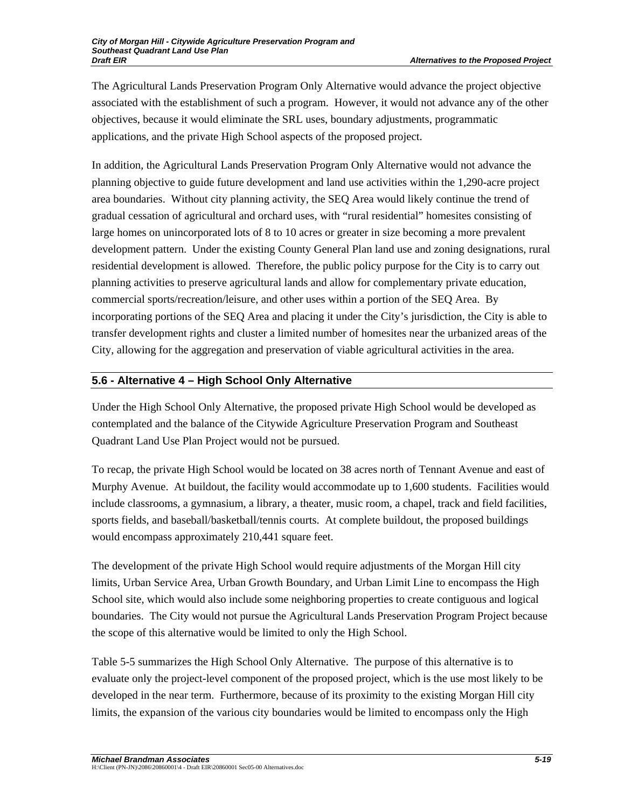The Agricultural Lands Preservation Program Only Alternative would advance the project objective associated with the establishment of such a program. However, it would not advance any of the other objectives, because it would eliminate the SRL uses, boundary adjustments, programmatic applications, and the private High School aspects of the proposed project.

In addition, the Agricultural Lands Preservation Program Only Alternative would not advance the planning objective to guide future development and land use activities within the 1,290-acre project area boundaries. Without city planning activity, the SEQ Area would likely continue the trend of gradual cessation of agricultural and orchard uses, with "rural residential" homesites consisting of large homes on unincorporated lots of 8 to 10 acres or greater in size becoming a more prevalent development pattern. Under the existing County General Plan land use and zoning designations, rural residential development is allowed. Therefore, the public policy purpose for the City is to carry out planning activities to preserve agricultural lands and allow for complementary private education, commercial sports/recreation/leisure, and other uses within a portion of the SEQ Area. By incorporating portions of the SEQ Area and placing it under the City's jurisdiction, the City is able to transfer development rights and cluster a limited number of homesites near the urbanized areas of the City, allowing for the aggregation and preservation of viable agricultural activities in the area.

## **5.6 - Alternative 4 – High School Only Alternative**

Under the High School Only Alternative, the proposed private High School would be developed as contemplated and the balance of the Citywide Agriculture Preservation Program and Southeast Quadrant Land Use Plan Project would not be pursued.

To recap, the private High School would be located on 38 acres north of Tennant Avenue and east of Murphy Avenue. At buildout, the facility would accommodate up to 1,600 students. Facilities would include classrooms, a gymnasium, a library, a theater, music room, a chapel, track and field facilities, sports fields, and baseball/basketball/tennis courts. At complete buildout, the proposed buildings would encompass approximately 210,441 square feet.

The development of the private High School would require adjustments of the Morgan Hill city limits, Urban Service Area, Urban Growth Boundary, and Urban Limit Line to encompass the High School site, which would also include some neighboring properties to create contiguous and logical boundaries. The City would not pursue the Agricultural Lands Preservation Program Project because the scope of this alternative would be limited to only the High School.

Table 5-5 summarizes the High School Only Alternative. The purpose of this alternative is to evaluate only the project-level component of the proposed project, which is the use most likely to be developed in the near term. Furthermore, because of its proximity to the existing Morgan Hill city limits, the expansion of the various city boundaries would be limited to encompass only the High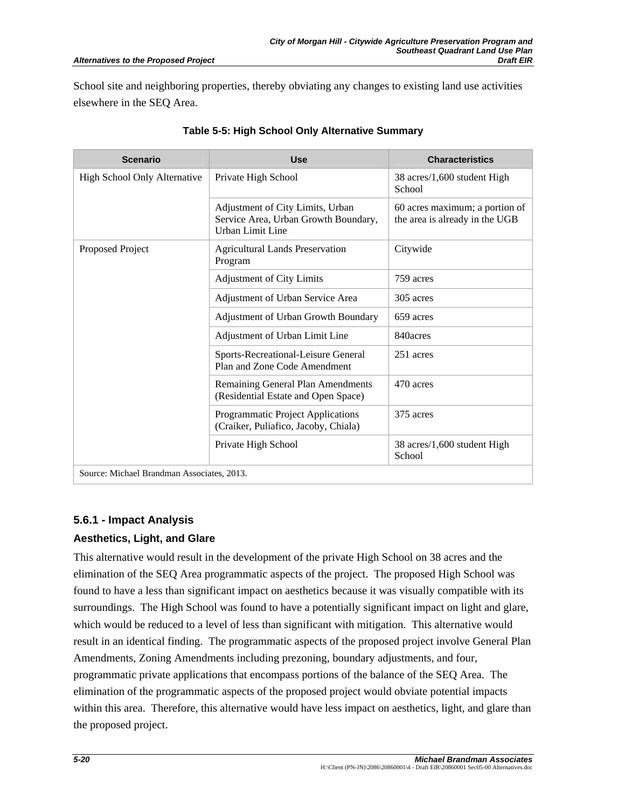#### *Alternatives to the Proposed Project*

School site and neighboring properties, thereby obviating any changes to existing land use activities elsewhere in the SEQ Area.

| <b>Scenario</b>                            | <b>Use</b>                                                                                   | <b>Characteristics</b>                                           |  |  |  |
|--------------------------------------------|----------------------------------------------------------------------------------------------|------------------------------------------------------------------|--|--|--|
| High School Only Alternative               | Private High School                                                                          | 38 acres/1,600 student High<br>School                            |  |  |  |
|                                            | Adjustment of City Limits, Urban<br>Service Area, Urban Growth Boundary,<br>Urban Limit Line | 60 acres maximum; a portion of<br>the area is already in the UGB |  |  |  |
| Proposed Project                           | <b>Agricultural Lands Preservation</b><br>Program                                            | Citywide                                                         |  |  |  |
|                                            | <b>Adjustment of City Limits</b>                                                             | 759 acres                                                        |  |  |  |
|                                            | Adjustment of Urban Service Area                                                             | 305 acres                                                        |  |  |  |
|                                            | Adjustment of Urban Growth Boundary                                                          | 659 acres                                                        |  |  |  |
|                                            | Adjustment of Urban Limit Line                                                               | 840acres                                                         |  |  |  |
|                                            | Sports-Recreational-Leisure General<br>Plan and Zone Code Amendment                          | 251 acres                                                        |  |  |  |
|                                            | Remaining General Plan Amendments<br>(Residential Estate and Open Space)                     | 470 acres                                                        |  |  |  |
|                                            | Programmatic Project Applications<br>(Craiker, Puliafico, Jacoby, Chiala)                    | 375 acres                                                        |  |  |  |
|                                            | Private High School                                                                          | 38 acres/1,600 student High<br>School                            |  |  |  |
| Source: Michael Brandman Associates, 2013. |                                                                                              |                                                                  |  |  |  |

### **Table 5-5: High School Only Alternative Summary**

### **5.6.1 - Impact Analysis**

## **Aesthetics, Light, and Glare**

This alternative would result in the development of the private High School on 38 acres and the elimination of the SEQ Area programmatic aspects of the project. The proposed High School was found to have a less than significant impact on aesthetics because it was visually compatible with its surroundings. The High School was found to have a potentially significant impact on light and glare, which would be reduced to a level of less than significant with mitigation. This alternative would result in an identical finding. The programmatic aspects of the proposed project involve General Plan Amendments, Zoning Amendments including prezoning, boundary adjustments, and four, programmatic private applications that encompass portions of the balance of the SEQ Area. The elimination of the programmatic aspects of the proposed project would obviate potential impacts within this area. Therefore, this alternative would have less impact on aesthetics, light, and glare than the proposed project.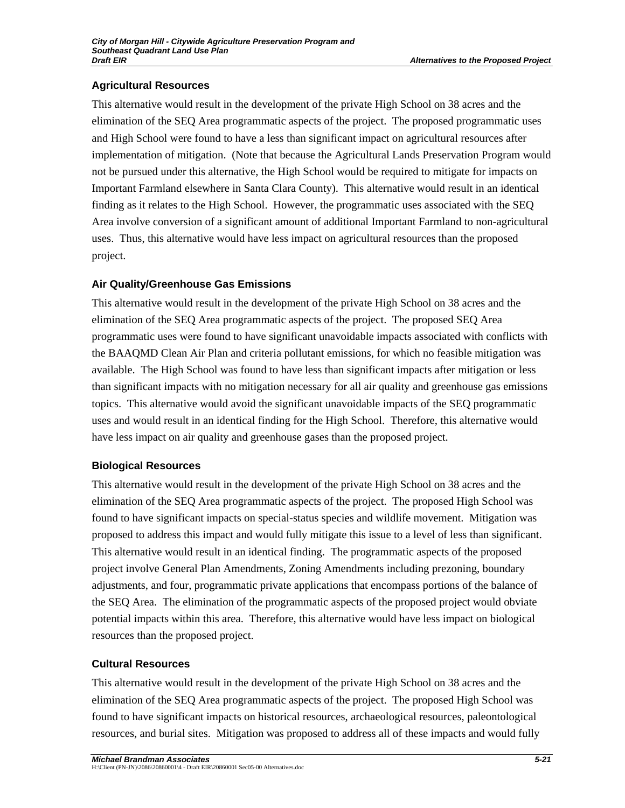## **Agricultural Resources**

This alternative would result in the development of the private High School on 38 acres and the elimination of the SEQ Area programmatic aspects of the project. The proposed programmatic uses and High School were found to have a less than significant impact on agricultural resources after implementation of mitigation. (Note that because the Agricultural Lands Preservation Program would not be pursued under this alternative, the High School would be required to mitigate for impacts on Important Farmland elsewhere in Santa Clara County). This alternative would result in an identical finding as it relates to the High School. However, the programmatic uses associated with the SEQ Area involve conversion of a significant amount of additional Important Farmland to non-agricultural uses. Thus, this alternative would have less impact on agricultural resources than the proposed project.

## **Air Quality/Greenhouse Gas Emissions**

This alternative would result in the development of the private High School on 38 acres and the elimination of the SEQ Area programmatic aspects of the project. The proposed SEQ Area programmatic uses were found to have significant unavoidable impacts associated with conflicts with the BAAQMD Clean Air Plan and criteria pollutant emissions, for which no feasible mitigation was available. The High School was found to have less than significant impacts after mitigation or less than significant impacts with no mitigation necessary for all air quality and greenhouse gas emissions topics. This alternative would avoid the significant unavoidable impacts of the SEQ programmatic uses and would result in an identical finding for the High School. Therefore, this alternative would have less impact on air quality and greenhouse gases than the proposed project.

## **Biological Resources**

This alternative would result in the development of the private High School on 38 acres and the elimination of the SEQ Area programmatic aspects of the project. The proposed High School was found to have significant impacts on special-status species and wildlife movement. Mitigation was proposed to address this impact and would fully mitigate this issue to a level of less than significant. This alternative would result in an identical finding. The programmatic aspects of the proposed project involve General Plan Amendments, Zoning Amendments including prezoning, boundary adjustments, and four, programmatic private applications that encompass portions of the balance of the SEQ Area. The elimination of the programmatic aspects of the proposed project would obviate potential impacts within this area. Therefore, this alternative would have less impact on biological resources than the proposed project.

## **Cultural Resources**

This alternative would result in the development of the private High School on 38 acres and the elimination of the SEQ Area programmatic aspects of the project. The proposed High School was found to have significant impacts on historical resources, archaeological resources, paleontological resources, and burial sites. Mitigation was proposed to address all of these impacts and would fully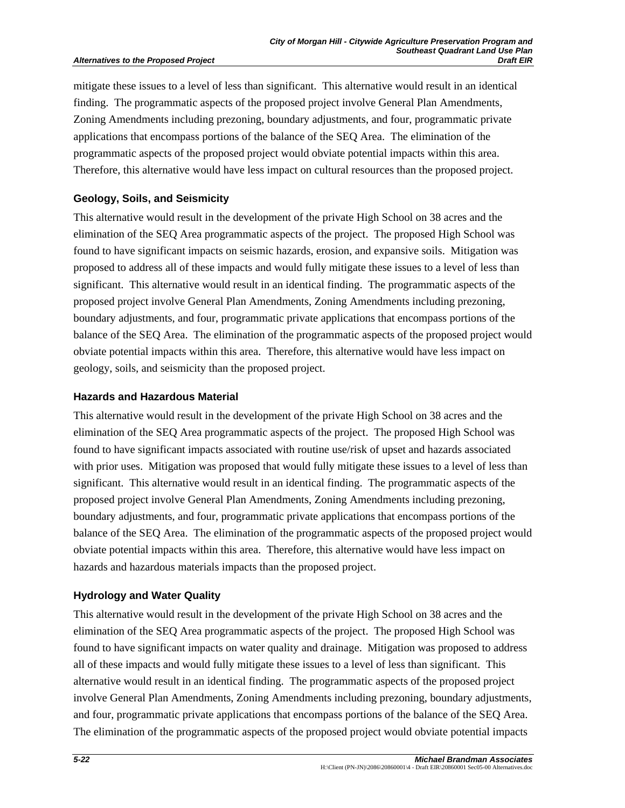#### **Alternatives to the Proposed Project**

mitigate these issues to a level of less than significant. This alternative would result in an identical finding. The programmatic aspects of the proposed project involve General Plan Amendments, Zoning Amendments including prezoning, boundary adjustments, and four, programmatic private applications that encompass portions of the balance of the SEQ Area. The elimination of the programmatic aspects of the proposed project would obviate potential impacts within this area. Therefore, this alternative would have less impact on cultural resources than the proposed project.

#### **Geology, Soils, and Seismicity**

This alternative would result in the development of the private High School on 38 acres and the elimination of the SEQ Area programmatic aspects of the project. The proposed High School was found to have significant impacts on seismic hazards, erosion, and expansive soils. Mitigation was proposed to address all of these impacts and would fully mitigate these issues to a level of less than significant. This alternative would result in an identical finding. The programmatic aspects of the proposed project involve General Plan Amendments, Zoning Amendments including prezoning, boundary adjustments, and four, programmatic private applications that encompass portions of the balance of the SEQ Area. The elimination of the programmatic aspects of the proposed project would obviate potential impacts within this area. Therefore, this alternative would have less impact on geology, soils, and seismicity than the proposed project.

#### **Hazards and Hazardous Material**

This alternative would result in the development of the private High School on 38 acres and the elimination of the SEQ Area programmatic aspects of the project. The proposed High School was found to have significant impacts associated with routine use/risk of upset and hazards associated with prior uses. Mitigation was proposed that would fully mitigate these issues to a level of less than significant. This alternative would result in an identical finding. The programmatic aspects of the proposed project involve General Plan Amendments, Zoning Amendments including prezoning, boundary adjustments, and four, programmatic private applications that encompass portions of the balance of the SEQ Area. The elimination of the programmatic aspects of the proposed project would obviate potential impacts within this area. Therefore, this alternative would have less impact on hazards and hazardous materials impacts than the proposed project.

### **Hydrology and Water Quality**

This alternative would result in the development of the private High School on 38 acres and the elimination of the SEQ Area programmatic aspects of the project. The proposed High School was found to have significant impacts on water quality and drainage. Mitigation was proposed to address all of these impacts and would fully mitigate these issues to a level of less than significant. This alternative would result in an identical finding. The programmatic aspects of the proposed project involve General Plan Amendments, Zoning Amendments including prezoning, boundary adjustments, and four, programmatic private applications that encompass portions of the balance of the SEQ Area. The elimination of the programmatic aspects of the proposed project would obviate potential impacts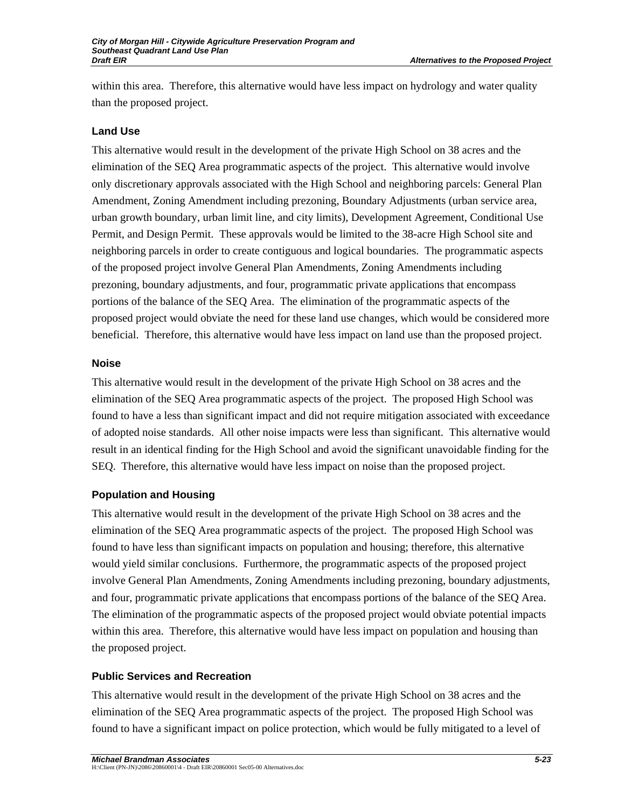within this area. Therefore, this alternative would have less impact on hydrology and water quality than the proposed project.

### **Land Use**

This alternative would result in the development of the private High School on 38 acres and the elimination of the SEQ Area programmatic aspects of the project. This alternative would involve only discretionary approvals associated with the High School and neighboring parcels: General Plan Amendment, Zoning Amendment including prezoning, Boundary Adjustments (urban service area, urban growth boundary, urban limit line, and city limits), Development Agreement, Conditional Use Permit, and Design Permit. These approvals would be limited to the 38-acre High School site and neighboring parcels in order to create contiguous and logical boundaries. The programmatic aspects of the proposed project involve General Plan Amendments, Zoning Amendments including prezoning, boundary adjustments, and four, programmatic private applications that encompass portions of the balance of the SEQ Area. The elimination of the programmatic aspects of the proposed project would obviate the need for these land use changes, which would be considered more beneficial. Therefore, this alternative would have less impact on land use than the proposed project.

### **Noise**

This alternative would result in the development of the private High School on 38 acres and the elimination of the SEQ Area programmatic aspects of the project. The proposed High School was found to have a less than significant impact and did not require mitigation associated with exceedance of adopted noise standards. All other noise impacts were less than significant. This alternative would result in an identical finding for the High School and avoid the significant unavoidable finding for the SEQ. Therefore, this alternative would have less impact on noise than the proposed project.

## **Population and Housing**

This alternative would result in the development of the private High School on 38 acres and the elimination of the SEQ Area programmatic aspects of the project. The proposed High School was found to have less than significant impacts on population and housing; therefore, this alternative would yield similar conclusions. Furthermore, the programmatic aspects of the proposed project involve General Plan Amendments, Zoning Amendments including prezoning, boundary adjustments, and four, programmatic private applications that encompass portions of the balance of the SEQ Area. The elimination of the programmatic aspects of the proposed project would obviate potential impacts within this area. Therefore, this alternative would have less impact on population and housing than the proposed project.

## **Public Services and Recreation**

This alternative would result in the development of the private High School on 38 acres and the elimination of the SEQ Area programmatic aspects of the project. The proposed High School was found to have a significant impact on police protection, which would be fully mitigated to a level of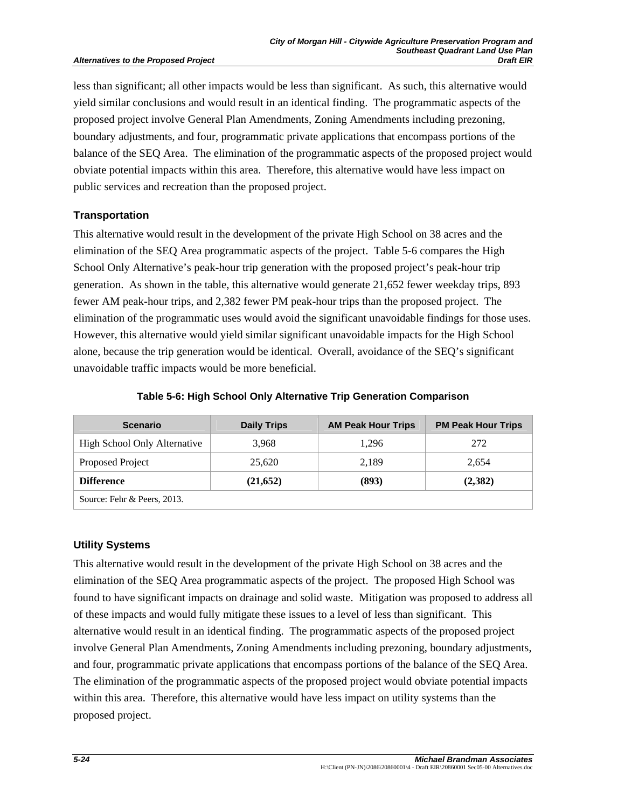less than significant; all other impacts would be less than significant. As such, this alternative would yield similar conclusions and would result in an identical finding. The programmatic aspects of the proposed project involve General Plan Amendments, Zoning Amendments including prezoning, boundary adjustments, and four, programmatic private applications that encompass portions of the balance of the SEQ Area. The elimination of the programmatic aspects of the proposed project would obviate potential impacts within this area. Therefore, this alternative would have less impact on public services and recreation than the proposed project.

### **Transportation**

This alternative would result in the development of the private High School on 38 acres and the elimination of the SEQ Area programmatic aspects of the project. Table 5-6 compares the High School Only Alternative's peak-hour trip generation with the proposed project's peak-hour trip generation. As shown in the table, this alternative would generate 21,652 fewer weekday trips, 893 fewer AM peak-hour trips, and 2,382 fewer PM peak-hour trips than the proposed project. The elimination of the programmatic uses would avoid the significant unavoidable findings for those uses. However, this alternative would yield similar significant unavoidable impacts for the High School alone, because the trip generation would be identical. Overall, avoidance of the SEQ's significant unavoidable traffic impacts would be more beneficial.

| <b>Scenario</b>              | <b>Daily Trips</b> | <b>AM Peak Hour Trips</b> | <b>PM Peak Hour Trips</b> |  |  |
|------------------------------|--------------------|---------------------------|---------------------------|--|--|
| High School Only Alternative | 3.968              | 1.296                     | 272                       |  |  |
| Proposed Project             | 25,620             | 2,189                     | 2,654                     |  |  |
| <b>Difference</b>            | (21, 652)          | (893)                     | (2,382)                   |  |  |
| Source: Fehr & Peers, 2013.  |                    |                           |                           |  |  |

**Table 5-6: High School Only Alternative Trip Generation Comparison** 

### **Utility Systems**

This alternative would result in the development of the private High School on 38 acres and the elimination of the SEQ Area programmatic aspects of the project. The proposed High School was found to have significant impacts on drainage and solid waste. Mitigation was proposed to address all of these impacts and would fully mitigate these issues to a level of less than significant. This alternative would result in an identical finding. The programmatic aspects of the proposed project involve General Plan Amendments, Zoning Amendments including prezoning, boundary adjustments, and four, programmatic private applications that encompass portions of the balance of the SEQ Area. The elimination of the programmatic aspects of the proposed project would obviate potential impacts within this area. Therefore, this alternative would have less impact on utility systems than the proposed project.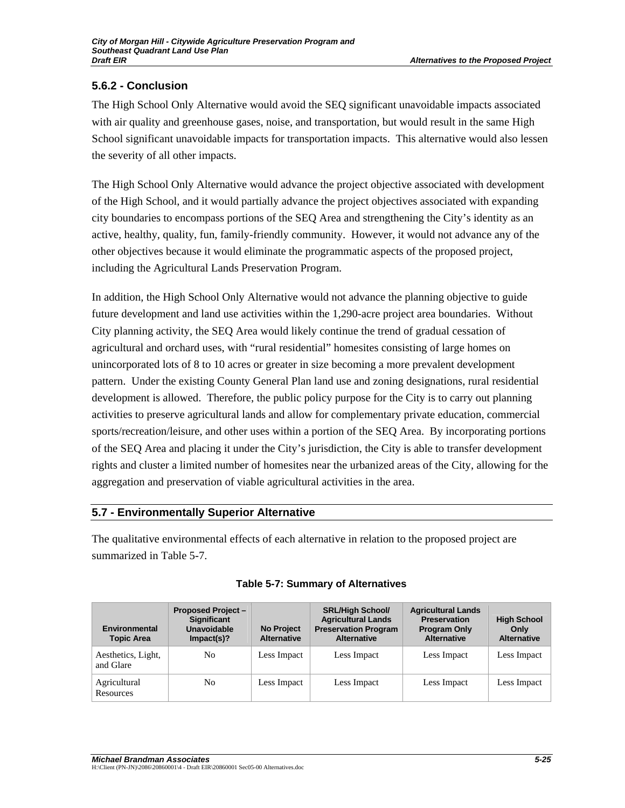# **5.6.2 - Conclusion**

The High School Only Alternative would avoid the SEQ significant unavoidable impacts associated with air quality and greenhouse gases, noise, and transportation, but would result in the same High School significant unavoidable impacts for transportation impacts. This alternative would also lessen the severity of all other impacts.

The High School Only Alternative would advance the project objective associated with development of the High School, and it would partially advance the project objectives associated with expanding city boundaries to encompass portions of the SEQ Area and strengthening the City's identity as an active, healthy, quality, fun, family-friendly community. However, it would not advance any of the other objectives because it would eliminate the programmatic aspects of the proposed project, including the Agricultural Lands Preservation Program.

In addition, the High School Only Alternative would not advance the planning objective to guide future development and land use activities within the 1,290-acre project area boundaries. Without City planning activity, the SEQ Area would likely continue the trend of gradual cessation of agricultural and orchard uses, with "rural residential" homesites consisting of large homes on unincorporated lots of 8 to 10 acres or greater in size becoming a more prevalent development pattern. Under the existing County General Plan land use and zoning designations, rural residential development is allowed. Therefore, the public policy purpose for the City is to carry out planning activities to preserve agricultural lands and allow for complementary private education, commercial sports/recreation/leisure, and other uses within a portion of the SEQ Area. By incorporating portions of the SEQ Area and placing it under the City's jurisdiction, the City is able to transfer development rights and cluster a limited number of homesites near the urbanized areas of the City, allowing for the aggregation and preservation of viable agricultural activities in the area.

## **5.7 - Environmentally Superior Alternative**

The qualitative environmental effects of each alternative in relation to the proposed project are summarized in Table 5-7.

| Environmental<br><b>Topic Area</b> | <b>Proposed Project -</b><br><b>Significant</b><br>Unavoidable<br>Impack(s)? | <b>No Project</b><br><b>Alternative</b> | <b>SRL/High School/</b><br><b>Agricultural Lands</b><br><b>Preservation Program</b><br><b>Alternative</b> | <b>Agricultural Lands</b><br><b>Preservation</b><br><b>Program Only</b><br><b>Alternative</b> | <b>High School</b><br>Only<br><b>Alternative</b> |
|------------------------------------|------------------------------------------------------------------------------|-----------------------------------------|-----------------------------------------------------------------------------------------------------------|-----------------------------------------------------------------------------------------------|--------------------------------------------------|
| Aesthetics, Light,<br>and Glare    | No                                                                           | Less Impact                             | Less Impact                                                                                               | Less Impact                                                                                   | Less Impact                                      |
| Agricultural<br>Resources          | No                                                                           | Less Impact                             | Less Impact                                                                                               | Less Impact                                                                                   | Less Impact                                      |

### **Table 5-7: Summary of Alternatives**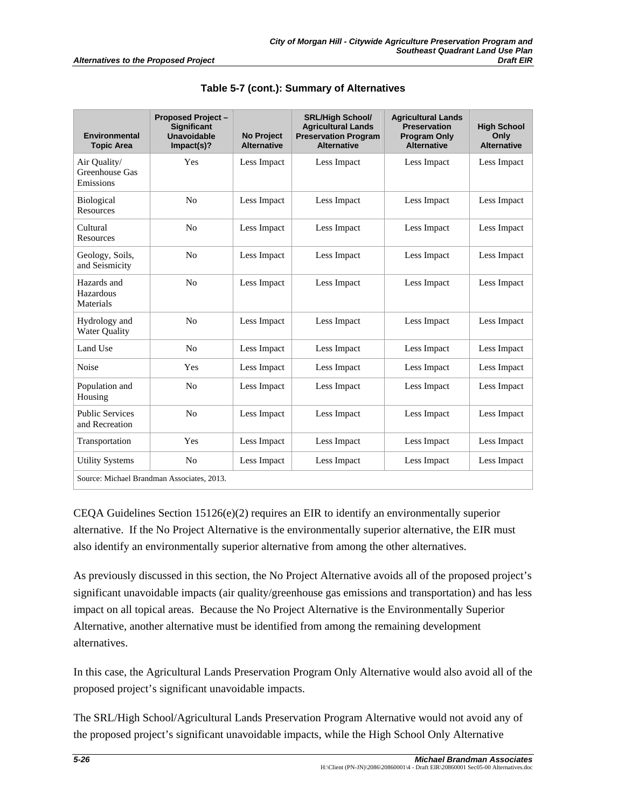| <b>Environmental</b><br><b>Topic Area</b>   | <b>Proposed Project-</b><br><b>Significant</b><br>Unavoidable<br>Impack(s)? | <b>No Project</b><br><b>Alternative</b> | <b>SRL/High School/</b><br><b>Agricultural Lands</b><br><b>Preservation Program</b><br><b>Alternative</b> | <b>Agricultural Lands</b><br><b>Preservation</b><br><b>Program Only</b><br><b>Alternative</b> | <b>High School</b><br>Only<br><b>Alternative</b> |
|---------------------------------------------|-----------------------------------------------------------------------------|-----------------------------------------|-----------------------------------------------------------------------------------------------------------|-----------------------------------------------------------------------------------------------|--------------------------------------------------|
| Air Quality/<br>Greenhouse Gas<br>Emissions | Yes                                                                         | Less Impact                             | Less Impact                                                                                               | Less Impact                                                                                   | Less Impact                                      |
| <b>Biological</b><br>Resources              | N <sub>o</sub>                                                              | Less Impact                             | Less Impact                                                                                               | Less Impact                                                                                   | Less Impact                                      |
| Cultural<br>Resources                       | N <sub>o</sub>                                                              | Less Impact                             | Less Impact                                                                                               | Less Impact                                                                                   | Less Impact                                      |
| Geology, Soils,<br>and Seismicity           | No                                                                          | Less Impact                             | Less Impact                                                                                               | Less Impact                                                                                   | Less Impact                                      |
| Hazards and<br>Hazardous<br>Materials       | N <sub>0</sub>                                                              | Less Impact                             | Less Impact                                                                                               | Less Impact                                                                                   | Less Impact                                      |
| Hydrology and<br><b>Water Ouality</b>       | N <sub>0</sub>                                                              | Less Impact                             | Less Impact                                                                                               | Less Impact                                                                                   | Less Impact                                      |
| Land Use                                    | N <sub>0</sub>                                                              | Less Impact                             | Less Impact                                                                                               | Less Impact                                                                                   | Less Impact                                      |
| Noise                                       | Yes                                                                         | Less Impact                             | Less Impact                                                                                               | Less Impact                                                                                   | Less Impact                                      |
| Population and<br>Housing                   | N <sub>o</sub>                                                              | Less Impact                             | Less Impact                                                                                               | Less Impact                                                                                   | Less Impact                                      |
| <b>Public Services</b><br>and Recreation    | N <sub>0</sub>                                                              | Less Impact                             | Less Impact                                                                                               | Less Impact                                                                                   | Less Impact                                      |
| Transportation                              | Yes                                                                         | Less Impact                             | Less Impact                                                                                               | Less Impact                                                                                   | Less Impact                                      |
| <b>Utility Systems</b>                      | N <sub>0</sub>                                                              | Less Impact                             | Less Impact                                                                                               | Less Impact                                                                                   | Less Impact                                      |
| Source: Michael Brandman Associates, 2013.  |                                                                             |                                         |                                                                                                           |                                                                                               |                                                  |

**Table 5-7 (cont.): Summary of Alternatives** 

CEQA Guidelines Section  $15126(e)(2)$  requires an EIR to identify an environmentally superior alternative. If the No Project Alternative is the environmentally superior alternative, the EIR must also identify an environmentally superior alternative from among the other alternatives.

As previously discussed in this section, the No Project Alternative avoids all of the proposed project's significant unavoidable impacts (air quality/greenhouse gas emissions and transportation) and has less impact on all topical areas. Because the No Project Alternative is the Environmentally Superior Alternative, another alternative must be identified from among the remaining development alternatives.

In this case, the Agricultural Lands Preservation Program Only Alternative would also avoid all of the proposed project's significant unavoidable impacts.

The SRL/High School/Agricultural Lands Preservation Program Alternative would not avoid any of the proposed project's significant unavoidable impacts, while the High School Only Alternative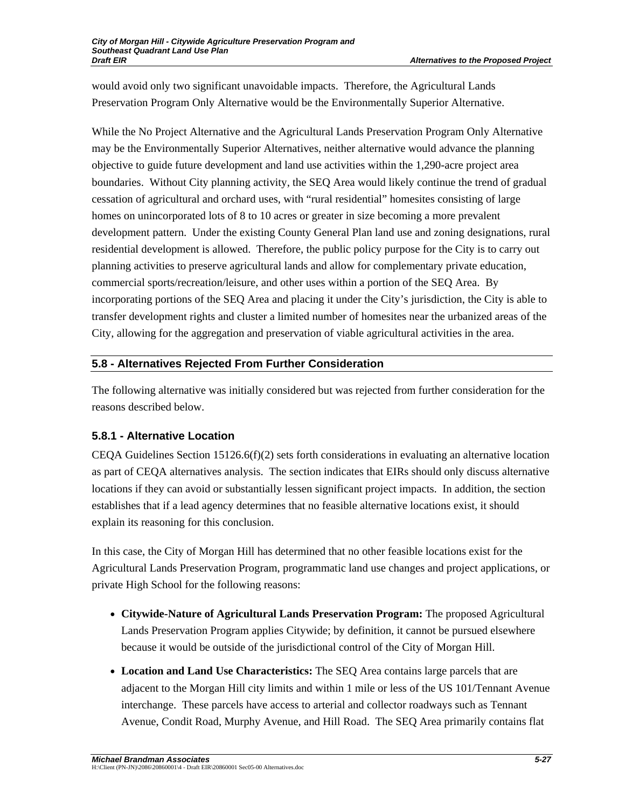would avoid only two significant unavoidable impacts. Therefore, the Agricultural Lands Preservation Program Only Alternative would be the Environmentally Superior Alternative.

While the No Project Alternative and the Agricultural Lands Preservation Program Only Alternative may be the Environmentally Superior Alternatives, neither alternative would advance the planning objective to guide future development and land use activities within the 1,290-acre project area boundaries. Without City planning activity, the SEQ Area would likely continue the trend of gradual cessation of agricultural and orchard uses, with "rural residential" homesites consisting of large homes on unincorporated lots of 8 to 10 acres or greater in size becoming a more prevalent development pattern. Under the existing County General Plan land use and zoning designations, rural residential development is allowed. Therefore, the public policy purpose for the City is to carry out planning activities to preserve agricultural lands and allow for complementary private education, commercial sports/recreation/leisure, and other uses within a portion of the SEQ Area. By incorporating portions of the SEQ Area and placing it under the City's jurisdiction, the City is able to transfer development rights and cluster a limited number of homesites near the urbanized areas of the City, allowing for the aggregation and preservation of viable agricultural activities in the area.

### **5.8 - Alternatives Rejected From Further Consideration**

The following alternative was initially considered but was rejected from further consideration for the reasons described below.

## **5.8.1 - Alternative Location**

CEQA Guidelines Section  $15126.6(f)(2)$  sets forth considerations in evaluating an alternative location as part of CEQA alternatives analysis. The section indicates that EIRs should only discuss alternative locations if they can avoid or substantially lessen significant project impacts. In addition, the section establishes that if a lead agency determines that no feasible alternative locations exist, it should explain its reasoning for this conclusion.

In this case, the City of Morgan Hill has determined that no other feasible locations exist for the Agricultural Lands Preservation Program, programmatic land use changes and project applications, or private High School for the following reasons:

- **Citywide-Nature of Agricultural Lands Preservation Program:** The proposed Agricultural Lands Preservation Program applies Citywide; by definition, it cannot be pursued elsewhere because it would be outside of the jurisdictional control of the City of Morgan Hill.
- **Location and Land Use Characteristics:** The SEQ Area contains large parcels that are adjacent to the Morgan Hill city limits and within 1 mile or less of the US 101/Tennant Avenue interchange. These parcels have access to arterial and collector roadways such as Tennant Avenue, Condit Road, Murphy Avenue, and Hill Road. The SEQ Area primarily contains flat